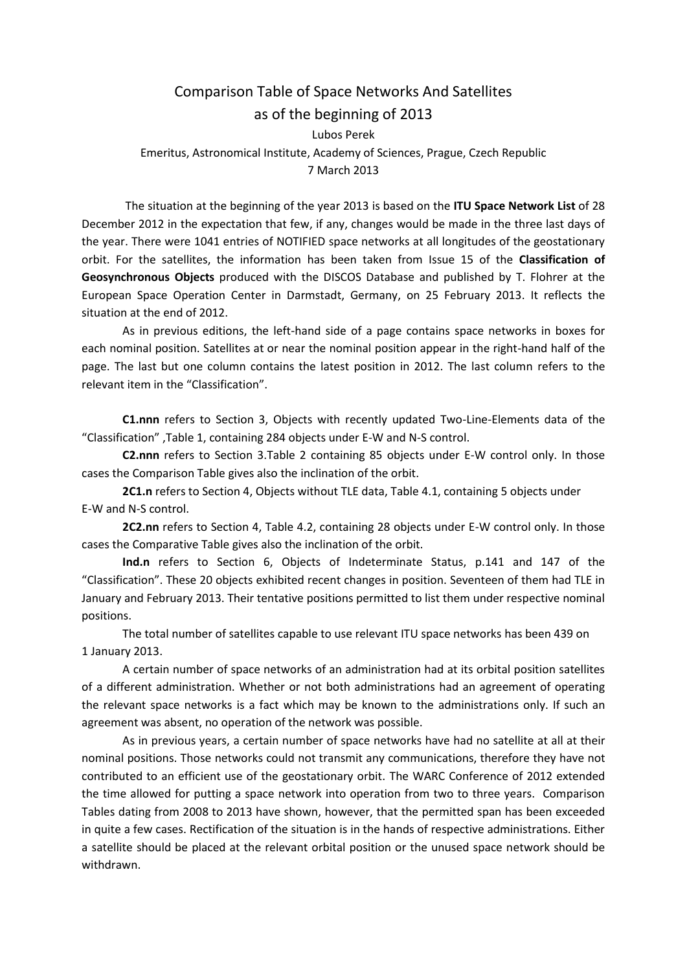## Comparison Table of Space Networks And Satellites as of the beginning of 2013

Lubos Perek Emeritus, Astronomical Institute, Academy of Sciences, Prague, Czech Republic 7 March 2013

The situation at the beginning of the year 2013 is based on the **ITU Space Network List** of 28 December 2012 in the expectation that few, if any, changes would be made in the three last days of the year. There were 1041 entries of NOTIFIED space networks at all longitudes of the geostationary orbit. For the satellites, the information has been taken from Issue 15 of the **Classification of Geosynchronous Objects** produced with the DISCOS Database and published by T. Flohrer at the European Space Operation Center in Darmstadt, Germany, on 25 February 2013. It reflects the situation at the end of 2012.

As in previous editions, the left-hand side of a page contains space networks in boxes for each nominal position. Satellites at or near the nominal position appear in the right-hand half of the page. The last but one column contains the latest position in 2012. The last column refers to the relevant item in the "Classification".

**C1.nnn** refers to Section 3, Objects with recently updated Two-Line-Elements data of the "Classification" ,Table 1, containing 284 objects under E-W and N-S control.

**C2.nnn** refers to Section 3.Table 2 containing 85 objects under E-W control only. In those cases the Comparison Table gives also the inclination of the orbit.

**2C1.n** refers to Section 4, Objects without TLE data, Table 4.1, containing 5 objects under E-W and N-S control.

**2C2.nn** refers to Section 4, Table 4.2, containing 28 objects under E-W control only. In those cases the Comparative Table gives also the inclination of the orbit.

**Ind.n** refers to Section 6, Objects of Indeterminate Status, p.141 and 147 of the "Classification". These 20 objects exhibited recent changes in position. Seventeen of them had TLE in January and February 2013. Their tentative positions permitted to list them under respective nominal positions.

The total number of satellites capable to use relevant ITU space networks has been 439 on 1 January 2013.

A certain number of space networks of an administration had at its orbital position satellites of a different administration. Whether or not both administrations had an agreement of operating the relevant space networks is a fact which may be known to the administrations only. If such an agreement was absent, no operation of the network was possible.

As in previous years, a certain number of space networks have had no satellite at all at their nominal positions. Those networks could not transmit any communications, therefore they have not contributed to an efficient use of the geostationary orbit. The WARC Conference of 2012 extended the time allowed for putting a space network into operation from two to three years. Comparison Tables dating from 2008 to 2013 have shown, however, that the permitted span has been exceeded in quite a few cases. Rectification of the situation is in the hands of respective administrations. Either a satellite should be placed at the relevant orbital position or the unused space network should be withdrawn.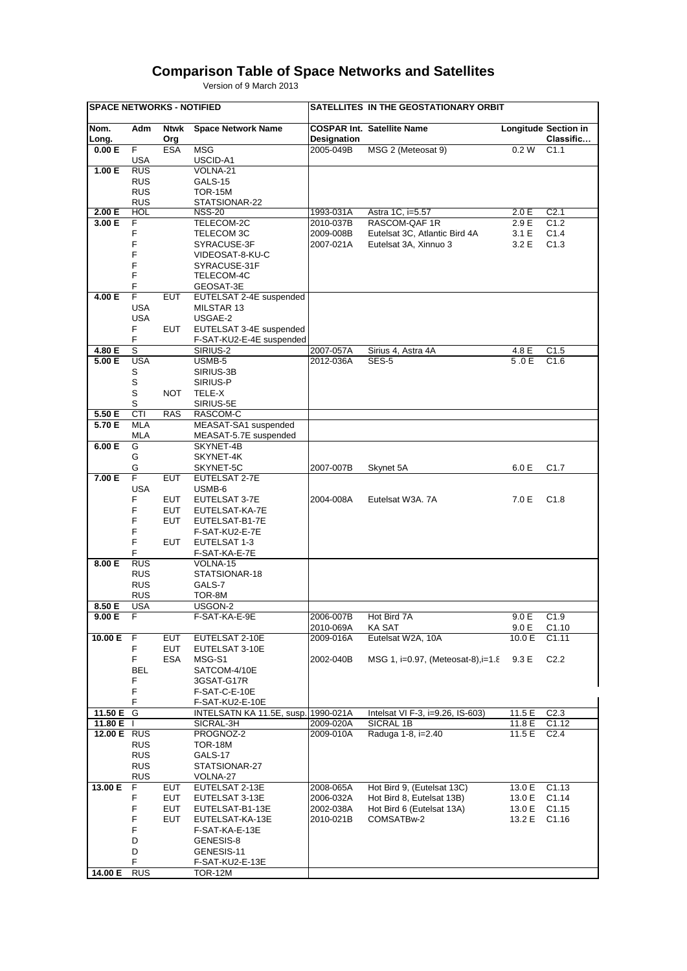## **Comparison Table of Space Networks and Satellites**

Version of 9 March 2013

| <b>SPACE NETWORKS - NOTIFIED</b> |                            |            |                                      | SATELLITES IN THE GEOSTATIONARY ORBIT |                                    |        |                             |  |
|----------------------------------|----------------------------|------------|--------------------------------------|---------------------------------------|------------------------------------|--------|-----------------------------|--|
| Nom.                             | Adm                        | Ntwk       | <b>Space Network Name</b>            |                                       | <b>COSPAR Int. Satellite Name</b>  |        | <b>Longitude Section in</b> |  |
| Long.                            |                            | Org        |                                      | Designation                           |                                    |        | Classific                   |  |
| 0.00 E                           | F                          | <b>ESA</b> | <b>MSG</b>                           | 2005-049B                             | MSG 2 (Meteosat 9)                 | 0.2 W  | C <sub>1.1</sub>            |  |
|                                  | USA                        |            | USCID-A1                             |                                       |                                    |        |                             |  |
| 1.00 E                           | <b>RUS</b>                 |            | VOLNA-21                             |                                       |                                    |        |                             |  |
|                                  | <b>RUS</b>                 |            | GALS-15                              |                                       |                                    |        |                             |  |
|                                  | <b>RUS</b><br><b>RUS</b>   |            | <b>TOR-15M</b><br>STATSIONAR-22      |                                       |                                    |        |                             |  |
| 2.00 E                           | HOL                        |            | <b>NSS-20</b>                        | 1993-031A                             | Astra 1C, i=5.57                   | 2.0 E  | C <sub>2.1</sub>            |  |
| 3.00 E                           | F                          |            | TELECOM-2C                           | 2010-037B                             | RASCOM-QAF1R                       | 2.9 E  | C1.2                        |  |
|                                  | F                          |            | TELECOM 3C                           | 2009-008B                             | Eutelsat 3C, Atlantic Bird 4A      | 3.1 E  | C1.4                        |  |
|                                  | F                          |            | SYRACUSE-3F                          | 2007-021A                             | Eutelsat 3A, Xinnuo 3              | 3.2 E  | C1.3                        |  |
|                                  | F                          |            | VIDEOSAT-8-KU-C                      |                                       |                                    |        |                             |  |
|                                  | F                          |            | SYRACUSE-31F                         |                                       |                                    |        |                             |  |
|                                  | F<br>F                     |            | TELECOM-4C                           |                                       |                                    |        |                             |  |
| 4.00 E                           | F                          | <b>EUT</b> | GEOSAT-3E<br>EUTELSAT 2-4E suspended |                                       |                                    |        |                             |  |
|                                  | <b>USA</b>                 |            | MILSTAR 13                           |                                       |                                    |        |                             |  |
|                                  | <b>USA</b>                 |            | USGAE-2                              |                                       |                                    |        |                             |  |
|                                  | F.                         | EUT        | EUTELSAT 3-4E suspended              |                                       |                                    |        |                             |  |
|                                  | F                          |            | F-SAT-KU2-E-4E suspended             |                                       |                                    |        |                             |  |
| 4.80 E                           | s                          |            | SIRIUS-2                             | 2007-057A                             | Sirius 4, Astra 4A                 | 4.8 E  | C1.5                        |  |
| 5.00 E                           | <b>USA</b>                 |            | USMB-5                               | 2012-036A                             | SES-5                              | 5.0E   | C1.6                        |  |
|                                  | S                          |            | SIRIUS-3B                            |                                       |                                    |        |                             |  |
|                                  | $\mathbb S$<br>$\mathbb S$ |            | SIRIUS-P                             |                                       |                                    |        |                             |  |
|                                  | S                          | <b>NOT</b> | TELE-X<br>SIRIUS-5E                  |                                       |                                    |        |                             |  |
| 5.50 E                           | CTI                        | <b>RAS</b> | RASCOM-C                             |                                       |                                    |        |                             |  |
| 5.70 E                           | <b>MLA</b>                 |            | MEASAT-SA1 suspended                 |                                       |                                    |        |                             |  |
|                                  | <b>MLA</b>                 |            | MEASAT-5.7E suspended                |                                       |                                    |        |                             |  |
| 6.00 E                           | G                          |            | SKYNET-4B                            |                                       |                                    |        |                             |  |
|                                  | G                          |            | SKYNET-4K                            |                                       |                                    |        |                             |  |
|                                  | G                          |            | SKYNET-5C                            | 2007-007B                             | Skynet 5A                          | 6.0 E  | C <sub>1.7</sub>            |  |
| 7.00 E                           | F<br><b>USA</b>            | <b>EUT</b> | EUTELSAT 2-7E                        |                                       |                                    |        |                             |  |
|                                  | F                          | EUT        | USMB-6<br>EUTELSAT 3-7E              | 2004-008A                             | Eutelsat W3A. 7A                   | 7.0 E  | C1.8                        |  |
|                                  | F                          | EUT        | EUTELSAT-KA-7E                       |                                       |                                    |        |                             |  |
|                                  | F                          | EUT        | EUTELSAT-B1-7E                       |                                       |                                    |        |                             |  |
|                                  | F                          |            | F-SAT-KU2-E-7E                       |                                       |                                    |        |                             |  |
|                                  | F                          | <b>EUT</b> | EUTELSAT 1-3                         |                                       |                                    |        |                             |  |
|                                  | F                          |            | F-SAT-KA-E-7E                        |                                       |                                    |        |                             |  |
| 8.00 E                           | <b>RUS</b>                 |            | VOLNA-15                             |                                       |                                    |        |                             |  |
|                                  | <b>RUS</b><br><b>RUS</b>   |            | STATSIONAR-18                        |                                       |                                    |        |                             |  |
|                                  | <b>RUS</b>                 |            | GALS-7<br>TOR-8M                     |                                       |                                    |        |                             |  |
| 8.50 E                           | <b>USA</b>                 |            | USGON-2                              |                                       |                                    |        |                             |  |
| 9.00 E                           | F                          |            | F-SAT-KA-E-9E                        | 2006-007B                             | Hot Bird 7A                        | 9.0 E  | C1.9                        |  |
|                                  |                            |            |                                      | 2010-069A                             | <b>KA SAT</b>                      | 9.0 E  | C1.10                       |  |
| 10.00 E                          | F                          | EUT        | EUTELSAT 2-10E                       | 2009-016A                             | Eutelsat W2A, 10A                  | 10.0 E | C1.11                       |  |
|                                  | F                          | <b>EUT</b> | EUTELSAT 3-10E                       |                                       |                                    |        |                             |  |
|                                  | F                          | ESA        | MSG-S1                               | 2002-040B                             | MSG 1, i=0.97, (Meteosat-8), i=1.8 | 9.3 E  | C2.2                        |  |
|                                  | <b>BEL</b><br>F            |            | SATCOM-4/10E<br>3GSAT-G17R           |                                       |                                    |        |                             |  |
|                                  | F                          |            | F-SAT-C-E-10E                        |                                       |                                    |        |                             |  |
|                                  | F                          |            | F-SAT-KU2-E-10E                      |                                       |                                    |        |                             |  |
| 11.50 E G                        |                            |            | INTELSATN KA 11.5E, susp. 1990-021A  |                                       | Intelsat VI F-3, i=9.26, IS-603)   | 11.5 E | C <sub>2.3</sub>            |  |
| 11.80 E                          |                            |            | SICRAL-3H                            | 2009-020A                             | SICRAL 1B                          | 11.8 E | C1.12                       |  |
| 12.00 E RUS                      |                            |            | PROGNOZ-2                            | 2009-010A                             | Raduga 1-8, i=2.40                 | 11.5 E | C <sub>2.4</sub>            |  |
|                                  | <b>RUS</b>                 |            | <b>TOR-18M</b>                       |                                       |                                    |        |                             |  |
|                                  | <b>RUS</b><br><b>RUS</b>   |            | GALS-17                              |                                       |                                    |        |                             |  |
|                                  | <b>RUS</b>                 |            | STATSIONAR-27<br>VOLNA-27            |                                       |                                    |        |                             |  |
| 13.00 E                          | F                          | <b>EUT</b> | EUTELSAT 2-13E                       | 2008-065A                             | Hot Bird 9, (Eutelsat 13C)         | 13.0 E | C1.13                       |  |
|                                  | F                          | EUT        | EUTELSAT 3-13E                       | 2006-032A                             | Hot Bird 8, Eutelsat 13B)          | 13.0 E | C1.14                       |  |
|                                  | F                          | <b>EUT</b> | EUTELSAT-B1-13E                      | 2002-038A                             | Hot Bird 6 (Eutelsat 13A)          | 13.0 E | C1.15                       |  |
|                                  | F                          | <b>EUT</b> | EUTELSAT-KA-13E                      | 2010-021B                             | COMSATBw-2                         | 13.2 E | C1.16                       |  |
|                                  | F                          |            | F-SAT-KA-E-13E                       |                                       |                                    |        |                             |  |
|                                  | D                          |            | GENESIS-8                            |                                       |                                    |        |                             |  |
|                                  | D<br>F                     |            | GENESIS-11                           |                                       |                                    |        |                             |  |
| 14.00 E                          | <b>RUS</b>                 |            | F-SAT-KU2-E-13E<br>TOR-12M           |                                       |                                    |        |                             |  |
|                                  |                            |            |                                      |                                       |                                    |        |                             |  |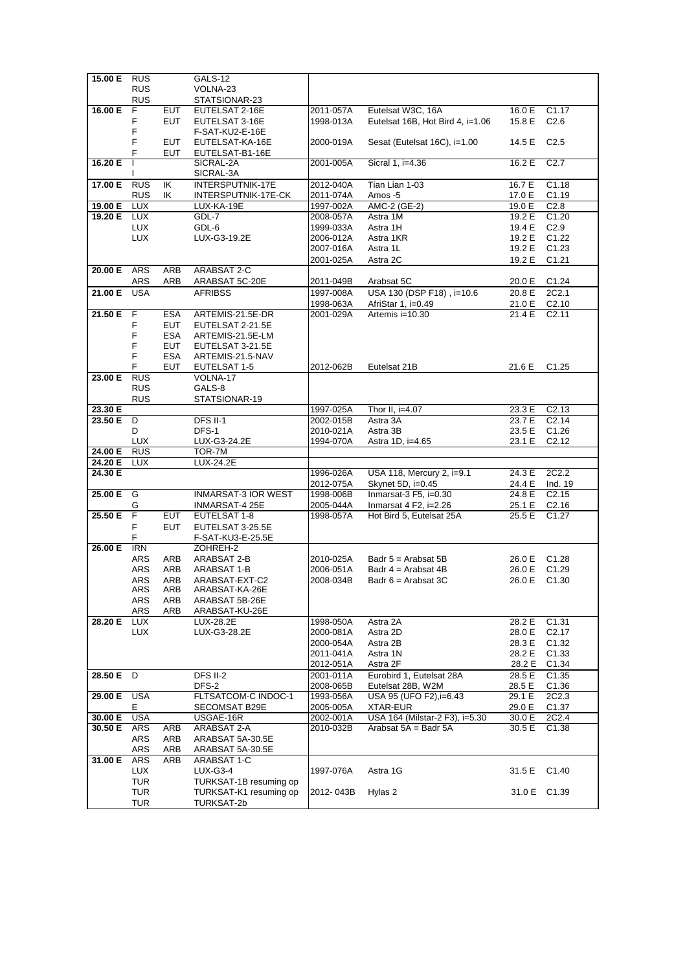| 15.00 E     | <b>RUS</b>     |            | GALS-12                    |           |                                  |        |                    |
|-------------|----------------|------------|----------------------------|-----------|----------------------------------|--------|--------------------|
|             | <b>RUS</b>     |            | VOLNA-23                   |           |                                  |        |                    |
|             |                |            |                            |           |                                  |        |                    |
|             | <b>RUS</b>     |            | STATSIONAR-23              |           |                                  |        |                    |
| 16.00 E     | F              | EUT        | EUTELSAT 2-16E             | 2011-057A | Eutelsat W3C, 16A                | 16.0 E | C <sub>1.17</sub>  |
|             |                |            |                            |           |                                  |        |                    |
|             | F              | <b>EUT</b> | EUTELSAT 3-16E             | 1998-013A | Eutelsat 16B, Hot Bird 4, i=1.06 | 15.8 E | C <sub>2.6</sub>   |
|             | F              |            | F-SAT-KU2-E-16E            |           |                                  |        |                    |
|             |                |            |                            |           |                                  |        |                    |
|             | F              | <b>EUT</b> | EUTELSAT-KA-16E            | 2000-019A | Sesat (Eutelsat 16C), i=1.00     | 14.5 E | C <sub>2.5</sub>   |
|             | F              | <b>EUT</b> | EUTELSAT-B1-16E            |           |                                  |        |                    |
|             |                |            |                            |           |                                  |        |                    |
| 16.20 E     | T              |            | SICRAL-2A                  | 2001-005A | Sicral 1, i=4.36                 | 16.2 E | C <sub>2.7</sub>   |
|             | ı              |            | SICRAL-3A                  |           |                                  |        |                    |
|             |                |            |                            |           |                                  |        |                    |
| 17.00 E     | RUS            | IK         | <b>INTERSPUTNIK-17E</b>    | 2012-040A | Tian Lian 1-03                   | 16.7 E | C1.18              |
|             | <b>RUS</b>     | ΙK         | INTERSPUTNIK-17E-CK        | 2011-074A | Amos -5                          | 17.0 E | C <sub>1.19</sub>  |
|             |                |            |                            |           |                                  |        |                    |
| 19.00 E     | <b>LUX</b>     |            | LUX-KA-19E                 | 1997-002A | AMC-2 (GE-2)                     | 19.0 E | C <sub>2.8</sub>   |
| 19.20 E LUX |                |            | GDL-7                      | 2008-057A | Astra 1M                         | 19.2 E | C1.20              |
|             |                |            |                            |           |                                  |        |                    |
|             | <b>LUX</b>     |            | GDL-6                      | 1999-033A | Astra 1H                         | 19.4 E | C2.9               |
|             | <b>LUX</b>     |            | LUX-G3-19.2E               | 2006-012A | Astra 1KR                        | 19.2 E | C1.22              |
|             |                |            |                            |           |                                  | 19.2 E | C1.23              |
|             |                |            |                            | 2007-016A | Astra 1L                         |        |                    |
|             |                |            |                            | 2001-025A | Astra 2C                         | 19.2 E | C1.21              |
|             |                |            |                            |           |                                  |        |                    |
| 20.00 E     | ARS            | ARB        | ARABSAT 2-C                |           |                                  |        |                    |
|             | ARS            | ARB        | ARABSAT 5C-20E             | 2011-049B | Arabsat 5C                       | 20.0 E | C1.24              |
|             |                |            |                            |           |                                  |        |                    |
| 21.00 E     | <b>USA</b>     |            | <b>AFRIBSS</b>             | 1997-008A | USA 130 (DSP F18), i=10.6        | 20.8 E | 2C2.1              |
|             |                |            |                            | 1998-063A | AfriStar 1, i=0.49               | 21.0 E | C2.10              |
|             |                |            |                            |           |                                  |        |                    |
| 21.50 E     | F              | <b>ESA</b> | ARTEMIS-21.5E-DR           | 2001-029A | Artemis i=10.30                  | 21.4 E | C <sub>2.11</sub>  |
|             | F              | <b>EUT</b> | EUTELSAT 2-21.5E           |           |                                  |        |                    |
|             |                |            |                            |           |                                  |        |                    |
|             | F              | <b>ESA</b> | ARTEMIS-21.5E-LM           |           |                                  |        |                    |
|             | F              | EUT        | EUTELSAT 3-21.5E           |           |                                  |        |                    |
|             | F              | <b>ESA</b> | ARTEMIS-21.5-NAV           |           |                                  |        |                    |
|             |                |            |                            |           |                                  |        |                    |
|             | F.             | <b>EUT</b> | EUTELSAT 1-5               | 2012-062B | Eutelsat 21B                     | 21.6 E | C <sub>1.25</sub>  |
| 23.00 E     | <b>RUS</b>     |            | VOLNA-17                   |           |                                  |        |                    |
|             |                |            |                            |           |                                  |        |                    |
|             | <b>RUS</b>     |            | GALS-8                     |           |                                  |        |                    |
|             | <b>RUS</b>     |            | STATSIONAR-19              |           |                                  |        |                    |
|             |                |            |                            |           |                                  |        |                    |
| 23.30 E     |                |            |                            | 1997-025A | Thor II, i=4.07                  | 23.3 E | C <sub>2.13</sub>  |
| 23.50 E     | D              |            | <b>DFS II-1</b>            | 2002-015B | Astra 3A                         | 23.7 E | C <sub>2.14</sub>  |
|             |                |            |                            |           |                                  |        |                    |
|             | D              |            | DFS-1                      | 2010-021A | Astra 3B                         | 23.5 E | C <sub>1.26</sub>  |
|             | <b>LUX</b>     |            | LUX-G3-24.2E               | 1994-070A | Astra 1D, i=4.65                 | 23.1 E | C <sub>2</sub> .12 |
|             |                |            |                            |           |                                  |        |                    |
| 24.00 E     | <b>RUS</b>     |            | TOR-7M                     |           |                                  |        |                    |
| 24.20 E     | <b>LUX</b>     |            | LUX-24.2E                  |           |                                  |        |                    |
|             |                |            |                            |           |                                  |        |                    |
| 24.30 E     |                |            |                            | 1996-026A | USA 118, Mercury 2, i=9.1        | 24.3 E | 2C2.2              |
|             |                |            |                            | 2012-075A | Skynet 5D, i=0.45                | 24.4 E | Ind. 19            |
|             |                |            |                            |           |                                  |        |                    |
| 25.00 E     | G              |            | <b>INMARSAT-3 IOR WEST</b> | 1998-006B | Inmarsat-3 F5, i=0.30            | 24.8 E | C <sub>2.15</sub>  |
|             | G              |            | INMARSAT-4 25E             | 2005-044A | Inmarsat 4 F2, i=2.26            | 25.1 E | C2.16              |
|             | $\overline{F}$ |            |                            |           |                                  |        |                    |
| 25.50 E     |                | <b>EUT</b> | EUTELSAT 1-8               | 1998-057A | Hot Bird 5, Eutelsat 25A         | 25.5 E | C <sub>1.27</sub>  |
|             | F              | <b>EUT</b> | EUTELSAT 3-25.5E           |           |                                  |        |                    |
|             |                |            |                            |           |                                  |        |                    |
|             | F              |            | F-SAT-KU3-E-25.5E          |           |                                  |        |                    |
| 26.00 E     | <b>IRN</b>     |            | ZOHREH-2                   |           |                                  |        |                    |
|             |                |            |                            |           | Badr $5 =$ Arabsat $5B$          |        |                    |
|             | ARS            | ARB        | ARABSAT 2-B                | 2010-025A |                                  | 26.0 E | C <sub>1.28</sub>  |
|             | <b>ARS</b>     | ARB        | ARABSAT 1-B                | 2006-051A | Badr $4 =$ Arabsat 4B            | 26.0 E | C <sub>1.29</sub>  |
|             | ARS            | ARB        | ARABSAT-EXT-C2             | 2008-034B | Badr $6 =$ Arabsat 3C            | 26.0 E | C <sub>1.30</sub>  |
|             |                |            |                            |           |                                  |        |                    |
|             | ARS            | ARB        | ARABSAT-KA-26E             |           |                                  |        |                    |
|             | ARS            | ARB        | ARABSAT 5B-26E             |           |                                  |        |                    |
|             |                |            |                            |           |                                  |        |                    |
|             | ARS            | ARB        | ARABSAT-KU-26E             |           |                                  |        |                    |
| 28.20 E     | LUX            |            | LUX-28.2E                  | 1998-050A | Astra 2A                         | 28.2 E | C1.31              |
|             |                |            | LUX-G3-28.2E               |           | Astra 2D                         |        |                    |
|             | LUX            |            |                            | 2000-081A |                                  | 28.0 E | C <sub>2.17</sub>  |
|             |                |            |                            | 2000-054A | Astra 2B                         | 28.3 E | C <sub>1.32</sub>  |
|             |                |            |                            | 2011-041A | Astra 1N                         | 28.2 E | C1.33              |
|             |                |            |                            |           |                                  |        |                    |
|             |                |            |                            | 2012-051A | Astra 2F                         | 28.2 E | C <sub>1.34</sub>  |
|             |                |            | DFS II-2                   |           |                                  | 28.5 E |                    |
| 28.50 E     | D              |            |                            | 2001-011A | Eurobird 1, Eutelsat 28A         |        | C <sub>1.35</sub>  |
|             |                |            | DFS-2                      | 2008-065B | Eutelsat 28B, W2M                | 28.5 E | C <sub>1.36</sub>  |
| 29.00 E     | <b>USA</b>     |            | FLTSATCOM-C INDOC-1        | 1993-056A | USA 95 (UFO F2), i=6.43          | 29.1 E | 2C2.3              |
|             |                |            |                            |           |                                  |        |                    |
|             | Е              |            | SECOMSAT B29E              | 2005-005A | <b>XTAR-EUR</b>                  | 29.0 E | C <sub>1.37</sub>  |
| 30.00 E     | <b>USA</b>     |            | USGAE-16R                  | 2002-001A | USA 164 (Milstar-2 F3), i=5.30   | 30.0 E | 2C2.4              |
|             |                |            |                            |           |                                  |        |                    |
| 30.50 E     | ARS            | ARB        | ARABSAT 2-A                | 2010-032B | Arabsat 5A = Badr 5A             | 30.5 E | C <sub>1.38</sub>  |
|             | ARS            | ARB        | ARABSAT 5A-30.5E           |           |                                  |        |                    |
|             |                |            |                            |           |                                  |        |                    |
|             | ARS            | ARB        | ARABSAT 5A-30.5E           |           |                                  |        |                    |
| 31.00 E     | ARS            | ARB        | ARABSAT 1-C                |           |                                  |        |                    |
|             |                |            |                            |           |                                  |        |                    |
|             | <b>LUX</b>     |            | <b>LUX-G3-4</b>            | 1997-076A | Astra 1G                         | 31.5 E | C <sub>1.40</sub>  |
|             |                |            |                            |           |                                  |        |                    |
|             |                |            |                            |           |                                  |        |                    |
|             | <b>TUR</b>     |            | TURKSAT-1B resuming op     |           |                                  |        |                    |
|             | <b>TUR</b>     |            | TURKSAT-K1 resuming op     | 2012-043B | Hylas 2                          |        | 31.0 E C1.39       |
|             | <b>TUR</b>     |            | TURKSAT-2b                 |           |                                  |        |                    |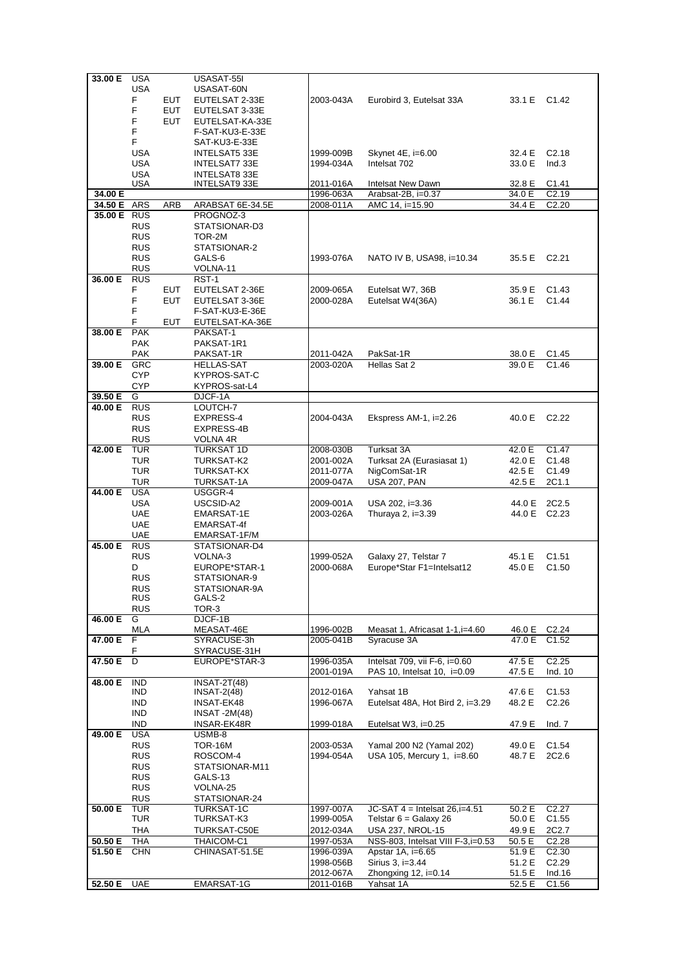| 33.00 E     | USA                      |            | USASAT-55I              |           |                                   |              |                    |
|-------------|--------------------------|------------|-------------------------|-----------|-----------------------------------|--------------|--------------------|
|             | <b>USA</b>               |            | USASAT-60N              |           |                                   |              |                    |
|             | F                        | <b>EUT</b> | EUTELSAT 2-33E          | 2003-043A | Eurobird 3, Eutelsat 33A          | 33.1 E C1.42 |                    |
|             | F                        | <b>EUT</b> | EUTELSAT 3-33E          |           |                                   |              |                    |
|             | F                        | <b>EUT</b> | EUTELSAT-KA-33E         |           |                                   |              |                    |
|             | F                        |            | F-SAT-KU3-E-33E         |           |                                   |              |                    |
|             | F.                       |            | SAT-KU3-E-33E           |           |                                   |              |                    |
|             | <b>USA</b>               |            | INTELSAT5 33E           | 1999-009B | Skynet 4E, i=6.00                 | 32.4 E       | C2.18              |
|             | <b>USA</b>               |            | INTELSAT7 33E           | 1994-034A | Intelsat 702                      | 33.0 E       | Ind.3              |
|             | <b>USA</b>               |            | <b>INTELSAT8 33E</b>    |           |                                   |              |                    |
|             | <b>USA</b>               |            | INTELSAT9 33E           | 2011-016A | Intelsat New Dawn                 | 32.8 E       | C <sub>1.41</sub>  |
| 34.00 E     |                          |            |                         | 1996-063A | Arabsat-2B, i=0.37                | 34.0 E       | C2.19              |
| 34.50 E ARS |                          | ARB        | ARABSAT 6E-34.5E        | 2008-011A | AMC 14, i=15.90                   | 34.4 E       | C <sub>2.20</sub>  |
| 35.00 E RUS |                          |            | PROGNOZ-3               |           |                                   |              |                    |
|             | <b>RUS</b>               |            | STATSIONAR-D3           |           |                                   |              |                    |
|             | <b>RUS</b>               |            | TOR-2M                  |           |                                   |              |                    |
|             | <b>RUS</b>               |            | STATSIONAR-2            |           |                                   |              |                    |
|             | <b>RUS</b>               |            | GALS-6                  | 1993-076A | NATO IV B, USA98, i=10.34         | 35.5 E       | C2.21              |
|             | <b>RUS</b>               |            | VOLNA-11                |           |                                   |              |                    |
| 36.00 E     | <b>RUS</b>               |            | RST-1                   |           |                                   |              |                    |
|             | F                        | <b>EUT</b> | EUTELSAT 2-36E          | 2009-065A | Eutelsat W7, 36B                  | 35.9 E       | C <sub>1.43</sub>  |
|             | F                        | <b>EUT</b> | EUTELSAT 3-36E          | 2000-028A | Eutelsat W4(36A)                  | 36.1 E       | C1.44              |
|             | F                        |            | F-SAT-KU3-E-36E         |           |                                   |              |                    |
|             | F                        | EUT        | EUTELSAT-KA-36E         |           |                                   |              |                    |
| 38.00 E     | <b>PAK</b>               |            | PAKSAT-1                |           |                                   |              |                    |
|             | <b>PAK</b>               |            | PAKSAT-1R1              |           |                                   |              |                    |
|             | <b>PAK</b>               |            | PAKSAT-1R               | 2011-042A | PakSat-1R                         | 38.0 E       | C <sub>1.45</sub>  |
| 39.00 E     | GRC                      |            | <b>HELLAS-SAT</b>       | 2003-020A | Hellas Sat 2                      | 39.0 E       | C1.46              |
|             | <b>CYP</b>               |            | KYPROS-SAT-C            |           |                                   |              |                    |
|             | <b>CYP</b>               |            | KYPROS-sat-L4           |           |                                   |              |                    |
| 39.50 E     | G                        |            | DJCF-1A                 |           |                                   |              |                    |
| 40.00 E     | <b>RUS</b>               |            | LOUTCH-7                |           |                                   |              |                    |
|             | <b>RUS</b>               |            | EXPRESS-4               | 2004-043A | Ekspress AM-1, i=2.26             | 40.0 E       | C <sub>2.22</sub>  |
|             | <b>RUS</b>               |            | EXPRESS-4B              |           |                                   |              |                    |
|             | <b>RUS</b>               |            | VOLNA 4R                |           |                                   |              |                    |
| 42.00 E     | <b>TUR</b>               |            | <b>TURKSAT 1D</b>       | 2008-030B | Turksat 3A                        | 42.0 E       | C1.47              |
|             | TUR                      |            | TURKSAT-K2              | 2001-002A | Turksat 2A (Eurasiasat 1)         | 42.0 E       | C1.48              |
|             | <b>TUR</b>               |            | TURKSAT-KX              | 2011-077A | NigComSat-1R                      | 42.5 E       | C1.49              |
|             | <b>TUR</b>               |            | TURKSAT-1A              | 2009-047A | <b>USA 207, PAN</b>               | 42.5 E       | 2C1.1              |
| 44.00 E     | <b>USA</b>               |            | USGGR-4                 |           |                                   |              |                    |
|             | <b>USA</b>               |            | USCSID-A2               | 2009-001A | USA 202, i=3.36                   | 44.0 E       | 2C <sub>2.5</sub>  |
|             | <b>UAE</b>               |            | EMARSAT-1E              | 2003-026A | Thuraya 2, i=3.39                 |              | 44.0 E C2.23       |
|             | UAE                      |            | EMARSAT-4f              |           |                                   |              |                    |
|             | <b>UAE</b>               |            | EMARSAT-1F/M            |           |                                   |              |                    |
| 45.00 E     | <b>RUS</b>               |            | STATSIONAR-D4           |           |                                   |              |                    |
|             | <b>RUS</b>               |            | VOLNA-3                 | 1999-052A | Galaxy 27, Telstar 7              | 45.1 E       | C1.51              |
|             | D                        |            | EUROPE*STAR-1           | 2000-068A | Europe*Star F1=Intelsat12         | 45.0 E       | C1.50              |
|             | <b>RUS</b><br><b>RUS</b> |            | STATSIONAR-9            |           |                                   |              |                    |
|             | <b>RUS</b>               |            | STATSIONAR-9A<br>GALS-2 |           |                                   |              |                    |
|             | <b>RUS</b>               |            | TOR-3                   |           |                                   |              |                    |
| 46.00 E     | G                        |            | DJCF-1B                 |           |                                   |              |                    |
|             | <b>MLA</b>               |            | MEASAT-46E              | 1996-002B | Measat 1, Africasat 1-1, i=4.60   | 46.0 E       | C <sub>2</sub> .24 |
| 47.00 E     | F                        |            | SYRACUSE-3h             | 2005-041B | Syracuse 3A                       | 47.0 E       | C <sub>1.52</sub>  |
|             | F                        |            | SYRACUSE-31H            |           |                                   |              |                    |
| 47.50 E     | D                        |            | EUROPE*STAR-3           | 1996-035A | Intelsat 709, vii F-6, i=0.60     | 47.5 E       | C <sub>2.25</sub>  |
|             |                          |            |                         | 2001-019A | PAS 10, Intelsat 10, i=0.09       | 47.5 E       | Ind. 10            |
| 48.00 E     | <b>IND</b>               |            | <b>INSAT-2T(48)</b>     |           |                                   |              |                    |
|             | IND.                     |            | INSAT-2(48)             | 2012-016A | Yahsat 1B                         | 47.6 E       | C1.53              |
|             | IND.                     |            | INSAT-EK48              | 1996-067A | Eutelsat 48A, Hot Bird 2, i=3.29  | 48.2 E       | C <sub>2.26</sub>  |
|             | <b>IND</b>               |            | <b>INSAT -2M(48)</b>    |           |                                   |              |                    |
|             | <b>IND</b>               |            | INSAR-EK48R             | 1999-018A | Eutelsat W3, i=0.25               | 47.9 E       | Ind. 7             |
| 49.00 E     | <b>USA</b>               |            | USMB-8                  |           |                                   |              |                    |
|             | <b>RUS</b>               |            | TOR-16M                 | 2003-053A | Yamal 200 N2 (Yamal 202)          | 49.0 E       | C <sub>1.54</sub>  |
|             | <b>RUS</b>               |            | ROSCOM-4                | 1994-054A | USA 105, Mercury 1, i=8.60        | 48.7 E       | 2C2.6              |
|             | <b>RUS</b>               |            | STATSIONAR-M11          |           |                                   |              |                    |
|             | <b>RUS</b>               |            | GALS-13                 |           |                                   |              |                    |
|             | <b>RUS</b>               |            | VOLNA-25                |           |                                   |              |                    |
|             | <b>RUS</b>               |            | STATSIONAR-24           |           |                                   |              |                    |
| 50.00 E     | TUR                      |            | TURKSAT-1C              | 1997-007A | $JC-SAT 4 = Intelsat 26, i=4.51$  | 50.2 E       | C <sub>2.27</sub>  |
|             | TUR                      |            | TURKSAT-K3              | 1999-005A | Telstar $6 =$ Galaxy 26           | 50.0 E       | C <sub>1.55</sub>  |
|             | THA                      |            | TURKSAT-C50E            | 2012-034A | <b>USA 237, NROL-15</b>           | 49.9 E       | 2C2.7              |
| 50.50 E     | THA                      |            | THAICOM-C1              | 1997-053A | NSS-803, Intelsat VIII F-3,i=0.53 | 50.5 E       | C <sub>2.28</sub>  |
| 51.50 E     | <b>CHN</b>               |            | CHINASAT-51.5E          | 1996-039A | Apstar 1A, i=6.65                 | 51.9 E       | C <sub>2.30</sub>  |
|             |                          |            |                         | 1998-056B | Sirius 3, i=3.44                  | 51.2 E       | C <sub>2.29</sub>  |
|             | <b>UAE</b>               |            | EMARSAT-1G              | 2012-067A | Zhongxing 12, i=0.14              | 51.5 E       | Ind.16             |
| 52.50 E     |                          |            |                         | 2011-016B | Yahsat 1A                         | 52.5 E       | C <sub>1.56</sub>  |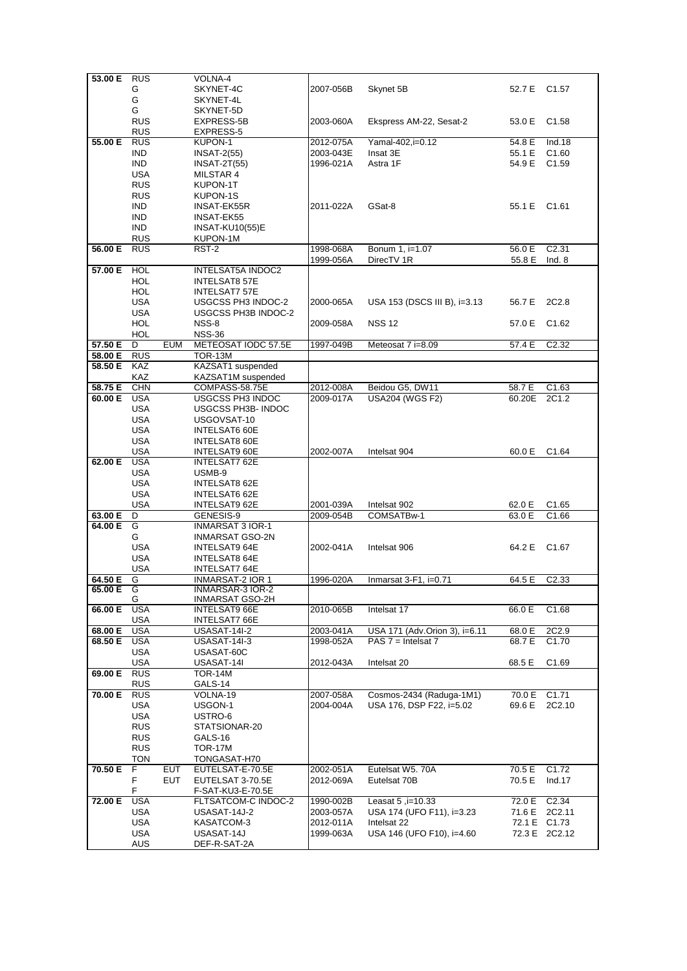| 53.00 E RUS |            |            | VOLNA-4                  |           |                               |              |                    |
|-------------|------------|------------|--------------------------|-----------|-------------------------------|--------------|--------------------|
|             | G          |            | SKYNET-4C                | 2007-056B | Skynet 5B                     | 52.7 E C1.57 |                    |
|             | G          |            | SKYNET-4L                |           |                               |              |                    |
|             | G          |            | SKYNET-5D                |           |                               |              |                    |
|             | <b>RUS</b> |            | EXPRESS-5B               | 2003-060A | Ekspress AM-22, Sesat-2       | 53.0 E       | C1.58              |
|             | <b>RUS</b> |            | EXPRESS-5                |           |                               |              |                    |
| 55.00 E     | <b>RUS</b> |            | KUPON-1                  | 2012-075A | Yamal-402,i=0.12              | 54.8 E       | Ind.18             |
|             | IND.       |            | $INSAT-2(55)$            | 2003-043E | Insat 3E                      | 55.1 E       | C <sub>1.60</sub>  |
|             | <b>IND</b> |            | <b>INSAT-2T(55)</b>      | 1996-021A | Astra 1F                      | 54.9 E       | C <sub>1.59</sub>  |
|             | <b>USA</b> |            | MILSTAR 4                |           |                               |              |                    |
|             | <b>RUS</b> |            | KUPON-1T                 |           |                               |              |                    |
|             | <b>RUS</b> |            | KUPON-1S                 |           |                               |              |                    |
|             | <b>IND</b> |            | INSAT-EK55R              | 2011-022A | GSat-8                        | 55.1 E C1.61 |                    |
|             | <b>IND</b> |            | INSAT-EK55               |           |                               |              |                    |
|             | <b>IND</b> |            | <b>INSAT-KU10(55)E</b>   |           |                               |              |                    |
|             | <b>RUS</b> |            | KUPON-1M                 |           |                               |              |                    |
| 56.00 E     | <b>RUS</b> |            | RST-2                    | 1998-068A | Bonum 1, i=1.07               | 56.0 E       | C <sub>2.31</sub>  |
|             |            |            |                          | 1999-056A | DirecTV 1R                    | 55.8 E       | Ind. 8             |
| 57.00 E     | <b>HOL</b> |            | <b>INTELSAT5A INDOC2</b> |           |                               |              |                    |
|             | <b>HOL</b> |            | <b>INTELSAT8 57E</b>     |           |                               |              |                    |
|             | HOL        |            | INTELSAT7 57E            |           |                               |              |                    |
|             | USA        |            | USGCSS PH3 INDOC-2       | 2000-065A | USA 153 (DSCS III B), i=3.13  | 56.7 E       | 2C2.8              |
|             | USA        |            | USGCSS PH3B INDOC-2      |           |                               |              |                    |
|             | HOL        |            | NSS-8                    | 2009-058A | <b>NSS 12</b>                 | 57.0 E       | C <sub>1.62</sub>  |
|             | HOL        |            | <b>NSS-36</b>            |           |                               |              |                    |
| 57.50 E     | D          | <b>EUM</b> | METEOSAT IODC 57.5E      | 1997-049B | Meteosat 7 i=8.09             | 57.4 E       | $\overline{C2.32}$ |
| 58.00 E     | <b>RUS</b> |            | <b>TOR-13M</b>           |           |                               |              |                    |
| 58.50 E     | <b>KAZ</b> |            | KAZSAT1 suspended        |           |                               |              |                    |
|             | <b>KAZ</b> |            | KAZSAT1M suspended       |           |                               |              |                    |
| 58.75 E     | <b>CHN</b> |            | COMPASS-58.75E           | 2012-008A | Beidou G5, DW11               | 58.7 E       | C1.63              |
| 60.00 E     | <b>USA</b> |            | USGCSS PH3 INDOC         | 2009-017A | <b>USA204 (WGS F2)</b>        | 60.20E       | 2C1.2              |
|             | <b>USA</b> |            | USGCSS PH3B- INDOC       |           |                               |              |                    |
|             | USA        |            | USGOVSAT-10              |           |                               |              |                    |
|             | <b>USA</b> |            | <b>INTELSAT6 60E</b>     |           |                               |              |                    |
|             | USA        |            | INTELSAT8 60E            |           |                               |              |                    |
|             | USA        |            | <b>INTELSAT9 60E</b>     | 2002-007A | Intelsat 904                  | 60.0 E       | C <sub>1.64</sub>  |
| 62.00 E     | USA        |            | INTELSAT7 62E            |           |                               |              |                    |
|             | <b>USA</b> |            | USMB-9                   |           |                               |              |                    |
|             | <b>USA</b> |            | INTELSAT8 62E            |           |                               |              |                    |
|             | <b>USA</b> |            | INTELSAT6 62E            |           |                               |              |                    |
|             | <b>USA</b> |            | INTELSAT9 62E            | 2001-039A | Intelsat 902                  | 62.0 E       | C1.65              |
| 63.00 E     | D          |            | GENESIS-9                | 2009-054B | COMSATBw-1                    | 63.0 E       | C1.66              |
| 64.00 E     | G          |            | <b>INMARSAT 3 IOR-1</b>  |           |                               |              |                    |
|             | G          |            | INMARSAT GSO-2N          |           |                               |              |                    |
|             | <b>USA</b> |            | <b>INTELSAT9 64E</b>     | 2002-041A | Intelsat 906                  | 64.2 E       | C <sub>1.67</sub>  |
|             | <b>USA</b> |            | <b>INTELSAT8 64E</b>     |           |                               |              |                    |
|             | <b>USA</b> |            | INTELSAT7 64E            |           |                               |              |                    |
| 64.50 E     | G          |            | INMARSAT-2 IOR 1         | 1996-020A | Inmarsat 3-F1, i=0.71         | 64.5 E       | C <sub>2.33</sub>  |
| 65.00 E     | G          |            | INMARSAR-3 IOR-2         |           |                               |              |                    |
|             | G          |            | INMARSAT GSO-2H          |           |                               |              |                    |
| 66.00 E     | <b>USA</b> |            | INTELSAT9 66E            | 2010-065B | Intelsat 17                   | 66.0 E       | C <sub>1.68</sub>  |
|             | USA        |            | INTELSAT7 66E            |           |                               |              |                    |
| 68.00 E     | <b>USA</b> |            | <b>USASAT-14I-2</b>      | 2003-041A | USA 171 (Adv.Orion 3), i=6.11 | 68.0 E       | 2C2.9              |
| 68.50 E     | <b>USA</b> |            | USASAT-14I-3             | 1998-052A | PAS $7 =$ Intelsat $7$        | 68.7 E       | C <sub>1.70</sub>  |
|             | USA        |            | USASAT-60C               |           |                               |              |                    |
|             | <b>USA</b> |            | USASAT-14I               | 2012-043A | Intelsat 20                   | 68.5 E       | C <sub>1.69</sub>  |
| 69.00 E     | <b>RUS</b> |            | TOR-14M                  |           |                               |              |                    |
|             | <b>RUS</b> |            | GALS-14                  |           |                               |              |                    |
| 70.00 E     | <b>RUS</b> |            | VOLNA-19                 | 2007-058A | Cosmos-2434 (Raduga-1M1)      | 70.0 E       | C1.71              |
|             | USA        |            | USGON-1                  | 2004-004A | USA 176, DSP F22, i=5.02      | 69.6 E       | 2C2.10             |
|             | USA        |            | USTRO-6                  |           |                               |              |                    |
|             | <b>RUS</b> |            | STATSIONAR-20            |           |                               |              |                    |
|             | <b>RUS</b> |            | GALS-16                  |           |                               |              |                    |
|             | <b>RUS</b> |            | <b>TOR-17M</b>           |           |                               |              |                    |
|             | <b>TON</b> |            | TONGASAT-H70             |           |                               |              |                    |
| 70.50 E     | F          | EUT        | EUTELSAT-E-70.5E         | 2002-051A | Eutelsat W5. 70A              | 70.5 E       | C <sub>1.72</sub>  |
|             | F          | EUT        | EUTELSAT 3-70.5E         | 2012-069A | Eutelsat 70B                  | 70.5 E       | Ind.17             |
|             | F.         |            | F-SAT-KU3-E-70.5E        |           |                               |              |                    |
| 72.00 E     | <b>USA</b> |            | FLTSATCOM-C INDOC-2      | 1990-002B | Leasat 5, i=10.33             |              | 72.0 E C2.34       |
|             |            |            |                          | 2003-057A | USA 174 (UFO F11), i=3.23     | 71.6 E       | 2C2.11             |
|             | USA        |            | USASAT-14J-2             |           |                               |              |                    |
|             | USA        |            | KASATCOM-3               | 2012-011A | Intelsat 22                   |              | 72.1 E C1.73       |
|             | <b>USA</b> |            | USASAT-14J               | 1999-063A | USA 146 (UFO F10), i=4.60     |              | 72.3 E 2C2.12      |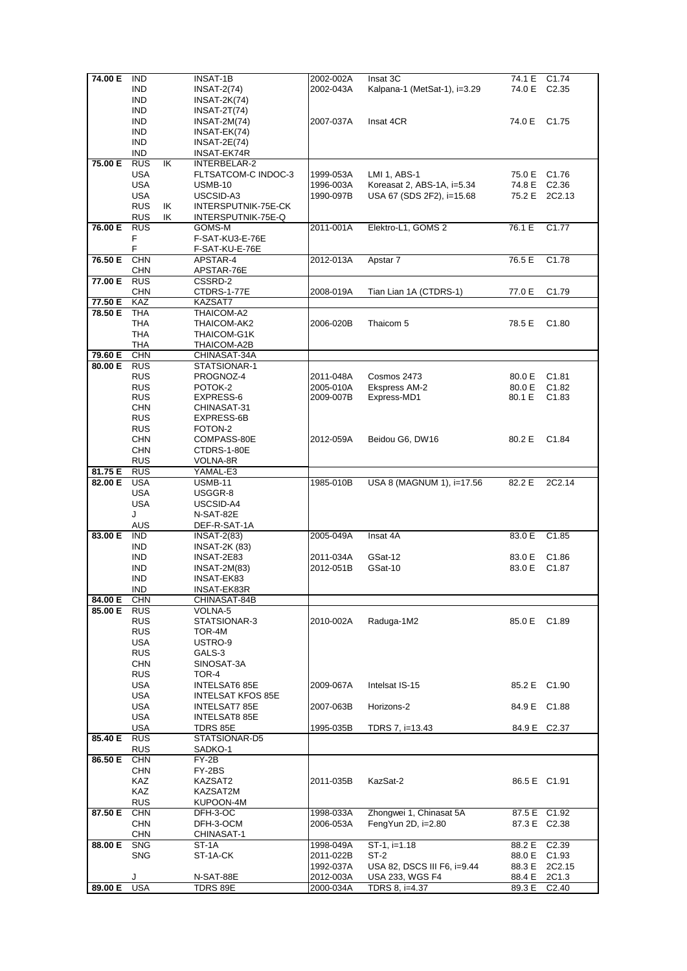| 74.00 E | <b>IND</b> |    | <b>INSAT-1B</b>       | 2002-002A              | Insat 3C                          | 74.1 E           | C <sub>1.74</sub>          |
|---------|------------|----|-----------------------|------------------------|-----------------------------------|------------------|----------------------------|
|         |            |    |                       |                        |                                   |                  |                            |
|         | <b>IND</b> |    | <b>INSAT-2(74)</b>    | 2002-043A              | Kalpana-1 (MetSat-1), i=3.29      | 74.0 E           | C <sub>2.35</sub>          |
|         | <b>IND</b> |    | <b>INSAT-2K(74)</b>   |                        |                                   |                  |                            |
|         | <b>IND</b> |    | $INSAT-2T(74)$        |                        |                                   |                  |                            |
|         |            |    |                       |                        |                                   |                  |                            |
|         | <b>IND</b> |    | INSAT-2M(74)          | 2007-037A              | Insat 4CR                         | 74.0 E           | C1.75                      |
|         | <b>IND</b> |    | INSAT-EK(74)          |                        |                                   |                  |                            |
|         | <b>IND</b> |    | $INSAT-2E(74)$        |                        |                                   |                  |                            |
|         |            |    |                       |                        |                                   |                  |                            |
|         | <b>IND</b> |    | INSAT-EK74R           |                        |                                   |                  |                            |
| 75.00 E | <b>RUS</b> | ΙK | INTERBELAR-2          |                        |                                   |                  |                            |
|         | <b>USA</b> |    | FLTSATCOM-C INDOC-3   | 1999-053A              | LMI 1, ABS-1                      | 75.0 E C1.76     |                            |
|         |            |    |                       |                        |                                   |                  |                            |
|         | <b>USA</b> |    | <b>USMB-10</b>        | 1996-003A              | Koreasat 2, ABS-1A, i=5.34        | 74.8 E           | C <sub>2.36</sub>          |
|         | <b>USA</b> |    | USCSID-A3             | 1990-097B              | USA 67 (SDS 2F2), i=15.68         |                  | 75.2 E 2C2.13              |
|         | <b>RUS</b> | ΙK | INTERSPUTNIK-75E-CK   |                        |                                   |                  |                            |
|         |            |    |                       |                        |                                   |                  |                            |
|         | <b>RUS</b> | ΙK | INTERSPUTNIK-75E-Q    |                        |                                   |                  |                            |
| 76.00 E | <b>RUS</b> |    | GOMS-M                | 2011-001A              | Elektro-L1, GOMS 2                | 76.1 E           | C <sub>1.77</sub>          |
|         | F          |    | F-SAT-KU3-E-76E       |                        |                                   |                  |                            |
|         |            |    |                       |                        |                                   |                  |                            |
|         | F          |    | F-SAT-KU-E-76E        |                        |                                   |                  |                            |
| 76.50 E | <b>CHN</b> |    | APSTAR-4              | 2012-013A              | Apstar 7                          | 76.5 E           | C <sub>1.78</sub>          |
|         | <b>CHN</b> |    | APSTAR-76E            |                        |                                   |                  |                            |
|         |            |    |                       |                        |                                   |                  |                            |
| 77.00 E | <b>RUS</b> |    | CSSRD-2               |                        |                                   |                  |                            |
|         | <b>CHN</b> |    | CTDRS-1-77E           | 2008-019A              | Tian Lian 1A (CTDRS-1)            | 77.0 E           | C <sub>1.79</sub>          |
| 77.50 E | KAZ        |    | KAZSAT7               |                        |                                   |                  |                            |
|         |            |    |                       |                        |                                   |                  |                            |
| 78.50 E | <b>THA</b> |    | THAICOM-A2            |                        |                                   |                  |                            |
|         | THA        |    | THAICOM-AK2           | 2006-020B              | Thaicom 5                         | 78.5 E           | C <sub>1.80</sub>          |
|         | <b>THA</b> |    | THAICOM-G1K           |                        |                                   |                  |                            |
|         |            |    |                       |                        |                                   |                  |                            |
|         | THA        |    | THAICOM-A2B           |                        |                                   |                  |                            |
| 79.60 E | <b>CHN</b> |    | CHINASAT-34A          |                        |                                   |                  |                            |
| 80.00 E | <b>RUS</b> |    | STATSIONAR-1          |                        |                                   |                  |                            |
|         | <b>RUS</b> |    | PROGNOZ-4             |                        | Cosmos 2473                       |                  | C <sub>1.81</sub>          |
|         |            |    |                       | 2011-048A              |                                   | 80.0 E           |                            |
|         | <b>RUS</b> |    | POTOK-2               | 2005-010A              | Ekspress AM-2                     | 80.0 E           | C <sub>1.82</sub>          |
|         | <b>RUS</b> |    | EXPRESS-6             | 2009-007B              | Express-MD1                       | 80.1 E           | C <sub>1.83</sub>          |
|         | <b>CHN</b> |    | CHINASAT-31           |                        |                                   |                  |                            |
|         |            |    |                       |                        |                                   |                  |                            |
|         | <b>RUS</b> |    | EXPRESS-6B            |                        |                                   |                  |                            |
|         | <b>RUS</b> |    | FOTON-2               |                        |                                   |                  |                            |
|         | <b>CHN</b> |    | COMPASS-80E           | 2012-059A              | Beidou G6, DW16                   | 80.2 E           | C <sub>1.84</sub>          |
|         |            |    |                       |                        |                                   |                  |                            |
|         | <b>CHN</b> |    | CTDRS-1-80E           |                        |                                   |                  |                            |
|         | <b>RUS</b> |    | VOLNA-8R              |                        |                                   |                  |                            |
| 81.75 E | <b>RUS</b> |    | YAMAL-E3              |                        |                                   |                  |                            |
|         |            |    |                       |                        |                                   |                  |                            |
| 82.00 E | <b>USA</b> |    | <b>USMB-11</b>        | 1985-010B              | USA 8 (MAGNUM 1), i=17.56         | 82.2 E           | 2C2.14                     |
|         | <b>USA</b> |    | USGGR-8               |                        |                                   |                  |                            |
|         | USA        |    | USCSID-A4             |                        |                                   |                  |                            |
|         |            |    |                       |                        |                                   |                  |                            |
|         | J          |    | N-SAT-82E             |                        |                                   |                  |                            |
|         | <b>AUS</b> |    | DEF-R-SAT-1A          |                        |                                   |                  |                            |
| 83.00 E | <b>IND</b> |    | <b>INSAT-2(83)</b>    | 2005-049A              | Insat 4A                          | 83.0 E           | C1.85                      |
|         | <b>IND</b> |    |                       |                        |                                   |                  |                            |
|         |            |    | <b>INSAT-2K (83)</b>  |                        |                                   |                  |                            |
|         |            |    | INSAT-2E83            | 2011-034A              | GSat-12                           |                  | C <sub>1.86</sub>          |
|         | <b>IND</b> |    |                       |                        |                                   | 83.0 E           |                            |
|         |            |    |                       |                        |                                   |                  |                            |
|         | <b>IND</b> |    | INSAT-2M(83)          | 2012-051B              | GSat-10                           | 83.0 E           | C <sub>1.87</sub>          |
|         | <b>IND</b> |    | INSAT-EK83            |                        |                                   |                  |                            |
|         | <b>IND</b> |    | INSAT-EK83R           |                        |                                   |                  |                            |
|         |            |    |                       |                        |                                   |                  |                            |
| 84.00 E | <b>CHN</b> |    | CHINASAT-84B          |                        |                                   |                  |                            |
| 85.00 E | <b>RUS</b> |    | VOLNA-5               |                        |                                   |                  |                            |
|         | <b>RUS</b> |    | STATSIONAR-3          | 2010-002A              | Raduga-1M2                        | 85.0 E           | C <sub>1.89</sub>          |
|         | <b>RUS</b> |    | TOR-4M                |                        |                                   |                  |                            |
|         |            |    |                       |                        |                                   |                  |                            |
|         | USA        |    | USTRO-9               |                        |                                   |                  |                            |
|         | <b>RUS</b> |    | GALS-3                |                        |                                   |                  |                            |
|         | <b>CHN</b> |    | SINOSAT-3A            |                        |                                   |                  |                            |
|         |            |    |                       |                        |                                   |                  |                            |
|         | <b>RUS</b> |    | TOR-4                 |                        |                                   |                  |                            |
|         | USA        |    | INTELSAT6 85E         | 2009-067A              | Intelsat IS-15                    | 85.2 E C1.90     |                            |
|         | USA        |    | INTELSAT KFOS 85E     |                        |                                   |                  |                            |
|         |            |    |                       |                        |                                   |                  |                            |
|         | <b>USA</b> |    | INTELSAT7 85E         | 2007-063B              | Horizons-2                        | 84.9 E C1.88     |                            |
|         | USA        |    | INTELSAT8 85E         |                        |                                   |                  |                            |
|         | <b>USA</b> |    | TDRS 85E              | 1995-035B              | TDRS 7, i=13.43                   |                  | 84.9 E C2.37               |
|         |            |    |                       |                        |                                   |                  |                            |
| 85.40 E | <b>RUS</b> |    | STATSIONAR-D5         |                        |                                   |                  |                            |
|         | <b>RUS</b> |    | SADKO-1               |                        |                                   |                  |                            |
| 86.50 E | <b>CHN</b> |    | FY-2B                 |                        |                                   |                  |                            |
|         |            |    |                       |                        |                                   |                  |                            |
|         | <b>CHN</b> |    | FY-2BS                |                        |                                   |                  |                            |
|         | KAZ        |    | KAZSAT2               | 2011-035B              | KazSat-2                          |                  | 86.5 E C1.91               |
|         | KAZ        |    | KAZSAT2M              |                        |                                   |                  |                            |
|         |            |    |                       |                        |                                   |                  |                            |
|         | <b>RUS</b> |    | KUPOON-4M             |                        |                                   |                  |                            |
| 87.50 E | <b>CHN</b> |    | DFH-3-OC              | 1998-033A              | Zhongwei 1, Chinasat 5A           |                  | 87.5 E C1.92               |
|         | <b>CHN</b> |    | DFH-3-OCM             | 2006-053A              | FengYun $2D$ , i= $2.80$          |                  | 87.3 E C2.38               |
|         |            |    |                       |                        |                                   |                  |                            |
|         | <b>CHN</b> |    | CHINASAT-1            |                        |                                   |                  |                            |
| 88.00 E | <b>SNG</b> |    | ST-1A                 | 1998-049A              | $ST-1$ , $i=1.18$                 | 88.2 E           | C <sub>2.39</sub>          |
|         | <b>SNG</b> |    | ST-1A-CK              | 2011-022B              | ST-2                              |                  | 88.0 E C1.93               |
|         |            |    |                       |                        |                                   |                  |                            |
|         |            |    |                       | 1992-037A              | USA 82, DSCS III F6, i=9.44       | 88.3 E           | 2C2.15                     |
| 89.00 E | J<br>USA   |    | N-SAT-88E<br>TDRS 89E | 2012-003A<br>2000-034A | USA 233, WGS F4<br>TDRS 8, i=4.37 | 88.4 E<br>89.3 E | 2C1.3<br>C <sub>2.40</sub> |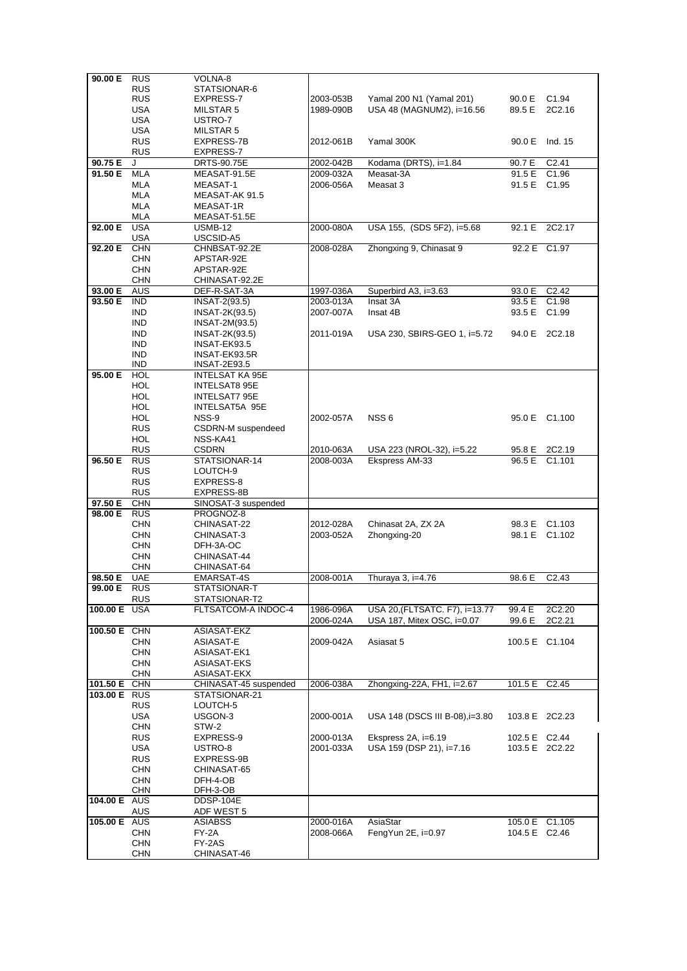| 90.00 E RUS         |                          | VOLNA-8                              |           |                                 |               |                    |
|---------------------|--------------------------|--------------------------------------|-----------|---------------------------------|---------------|--------------------|
|                     | <b>RUS</b>               | STATSIONAR-6                         |           |                                 |               |                    |
|                     | <b>RUS</b>               | EXPRESS-7                            | 2003-053B | Yamal 200 N1 (Yamal 201)        | 90.0 E        | C <sub>1.94</sub>  |
|                     | <b>USA</b>               | MILSTAR 5                            | 1989-090B | USA 48 (MAGNUM2), i=16.56       | 89.5 E        | 2C2.16             |
|                     | <b>USA</b>               | USTRO-7                              |           |                                 |               |                    |
|                     | <b>USA</b>               | MILSTAR 5                            |           |                                 |               |                    |
|                     | <b>RUS</b>               | EXPRESS-7B                           | 2012-061B | Yamal 300K                      |               | 90.0 E Ind. 15     |
|                     | <b>RUS</b>               | EXPRESS-7                            |           |                                 |               |                    |
| 90.75 E             | J                        | DRTS-90.75E                          | 2002-042B | Kodama (DRTS), i=1.84           | 90.7 E        | C <sub>2.41</sub>  |
| 91.50 E             | <b>MLA</b>               | MEASAT-91.5E                         | 2009-032A | Measat-3A                       | 91.5 E        | C <sub>1.96</sub>  |
|                     | MLA                      | MEASAT-1                             | 2006-056A | Measat 3                        | 91.5 E        | C <sub>1.95</sub>  |
|                     | MLA<br>MLA               | MEASAT-AK 91.5<br>MEASAT-1R          |           |                                 |               |                    |
|                     | MLA                      | MEASAT-51.5E                         |           |                                 |               |                    |
| 92.00 E             | <b>USA</b>               | <b>USMB-12</b>                       | 2000-080A | USA 155, (SDS 5F2), i=5.68      |               | 92.1 E 2C2.17      |
|                     | USA                      | USCSID-A5                            |           |                                 |               |                    |
| 92.20 E             | <b>CHN</b>               | CHNBSAT-92.2E                        | 2008-028A | Zhongxing 9, Chinasat 9         |               | 92.2 E C1.97       |
|                     | <b>CHN</b>               | APSTAR-92E                           |           |                                 |               |                    |
|                     | <b>CHN</b>               | APSTAR-92E                           |           |                                 |               |                    |
|                     | <b>CHN</b>               | CHINASAT-92.2E                       |           |                                 |               |                    |
| 93.00 E             | <b>AUS</b>               | DEF-R-SAT-3A                         | 1997-036A | Superbird A3, i=3.63            | 93.0 E        | C <sub>2.42</sub>  |
| 93.50 E             | <b>IND</b>               | INSAT-2(93.5)                        | 2003-013A | Insat 3A                        | 93.5 E        | C <sub>1.98</sub>  |
|                     | <b>IND</b>               | INSAT-2K(93.5)                       | 2007-007A | Insat 4B                        |               | 93.5 E C1.99       |
|                     | <b>IND</b>               | INSAT-2M(93.5)                       |           |                                 |               |                    |
|                     | <b>IND</b>               | INSAT-2K(93.5)                       | 2011-019A | USA 230, SBIRS-GEO 1, i=5.72    |               | 94.0 E 2C2.18      |
|                     | <b>IND</b>               | INSAT-EK93.5                         |           |                                 |               |                    |
|                     | <b>IND</b>               | INSAT-EK93.5R                        |           |                                 |               |                    |
| 95.00 E             | <b>IND</b><br><b>HOL</b> | INSAT-2E93.5<br>INTELSAT KA 95E      |           |                                 |               |                    |
|                     | HOL                      | INTELSAT8 95E                        |           |                                 |               |                    |
|                     | <b>HOL</b>               | <b>INTELSAT7 95E</b>                 |           |                                 |               |                    |
|                     | <b>HOL</b>               | INTELSAT5A 95E                       |           |                                 |               |                    |
|                     | <b>HOL</b>               | NSS-9                                | 2002-057A | NSS <sub>6</sub>                |               | 95.0 E C1.100      |
|                     | <b>RUS</b>               | CSDRN-M suspendeed                   |           |                                 |               |                    |
|                     | <b>HOL</b>               | NSS-KA41                             |           |                                 |               |                    |
|                     | <b>RUS</b>               | <b>CSDRN</b>                         | 2010-063A | USA 223 (NROL-32), i=5.22       | 95.8 E        | 2C2.19             |
| 96.50 E             | <b>RUS</b>               | STATSIONAR-14                        | 2008-003A | Ekspress AM-33                  | 96.5 E        | C1.101             |
|                     | <b>RUS</b>               | LOUTCH-9                             |           |                                 |               |                    |
|                     | <b>RUS</b>               | EXPRESS-8                            |           |                                 |               |                    |
|                     | <b>RUS</b>               | EXPRESS-8B                           |           |                                 |               |                    |
| 97.50 E             | <b>CHN</b>               | SINOSAT-3 suspended                  |           |                                 |               |                    |
| 98.00 E             | <b>RUS</b>               | PROGNOZ-8                            |           |                                 |               |                    |
|                     | <b>CHN</b>               | CHINASAT-22                          | 2012-028A | Chinasat 2A, ZX 2A              |               | 98.3 E C1.103      |
|                     | <b>CHN</b><br><b>CHN</b> | CHINASAT-3<br>DFH-3A-OC              | 2003-052A | Zhongxing-20                    |               | 98.1 E C1.102      |
|                     | <b>CHN</b>               | CHINASAT-44                          |           |                                 |               |                    |
|                     | <b>CHN</b>               | CHINASAT-64                          |           |                                 |               |                    |
| 98.50 E             | <b>UAE</b>               | EMARSAT-4S                           | 2008-001A | Thuraya 3, i=4.76               | 98.6 E        | C <sub>2</sub> .43 |
| 99.00 E             | <b>RUS</b>               | STATSIONAR-T                         |           |                                 |               |                    |
|                     | <b>RUS</b>               | STATSIONAR-T2                        |           |                                 |               |                    |
| 100.00 E            | <b>USA</b>               | FLTSATCOM-A INDOC-4                  | 1986-096A | USA 20, (FLTSATC. F7), i=13.77  | 99.4 E        | 2C2.20             |
|                     |                          |                                      | 2006-024A | USA 187, Mitex OSC, i=0.07      | 99.6 E        | 2C2.21             |
| 100.50 E CHN        |                          | ASIASAT-EKZ                          |           |                                 |               |                    |
|                     | <b>CHN</b>               | ASIASAT-E                            | 2009-042A | Asiasat 5                       |               | 100.5 E C1.104     |
|                     | <b>CHN</b>               | ASIASAT-EK1                          |           |                                 |               |                    |
|                     | <b>CHN</b><br><b>CHN</b> | ASIASAT-EKS                          |           |                                 |               |                    |
| 101.50 E            | CHN                      | ASIASAT-EKX<br>CHINASAT-45 suspended | 2006-038A | Zhongxing-22A, FH1, i=2.67      | 101.5 E       | C <sub>2.45</sub>  |
| 103.00 E RUS        |                          | STATSIONAR-21                        |           |                                 |               |                    |
|                     | <b>RUS</b>               | LOUTCH-5                             |           |                                 |               |                    |
|                     | <b>USA</b>               | USGON-3                              | 2000-001A | USA 148 (DSCS III B-08), i=3.80 |               | 103.8 E 2C2.23     |
|                     | <b>CHN</b>               | STW-2                                |           |                                 |               |                    |
|                     | <b>RUS</b>               | EXPRESS-9                            | 2000-013A | Ekspress 2A, i=6.19             | 102.5 E C2.44 |                    |
|                     | <b>USA</b>               | USTRO-8                              | 2001-033A | USA 159 (DSP 21), i=7.16        |               | 103.5 E 2C2.22     |
|                     | <b>RUS</b>               | EXPRESS-9B                           |           |                                 |               |                    |
|                     | <b>CHN</b>               | CHINASAT-65                          |           |                                 |               |                    |
|                     | <b>CHN</b>               | DFH-4-OB                             |           |                                 |               |                    |
|                     | <b>CHN</b>               | DFH-3-OB                             |           |                                 |               |                    |
| 104.00 E AUS        |                          | DDSP-104E                            |           |                                 |               |                    |
| <b>105.00 E</b> AUS | AUS                      | ADF WEST 5<br><b>ASIABSS</b>         | 2000-016A | AsiaStar                        |               | 105.0 E C1.105     |
|                     | <b>CHN</b>               | FY-2A                                | 2008-066A | FengYun $2E$ , i=0.97           | 104.5 E C2.46 |                    |
|                     | <b>CHN</b>               | FY-2AS                               |           |                                 |               |                    |
|                     | <b>CHN</b>               | CHINASAT-46                          |           |                                 |               |                    |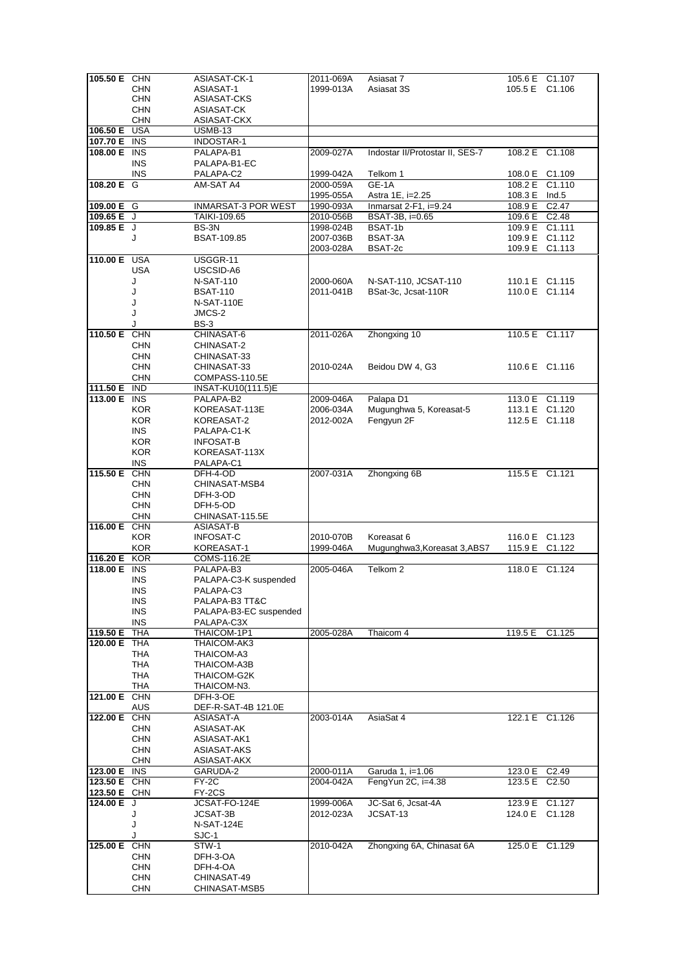| 105.50 E CHN |            | ASIASAT-CK-1           | 2011-069A | Asiasat 7                       |               | 105.6 E C1.107 |
|--------------|------------|------------------------|-----------|---------------------------------|---------------|----------------|
|              |            |                        | 1999-013A |                                 |               |                |
|              | <b>CHN</b> | ASIASAT-1              |           | Asiasat 3S                      |               | 105.5 E C1.106 |
|              | <b>CHN</b> | ASIASAT-CKS            |           |                                 |               |                |
|              | <b>CHN</b> | ASIASAT-CK             |           |                                 |               |                |
|              | <b>CHN</b> | ASIASAT-CKX            |           |                                 |               |                |
| 106.50 E USA |            | <b>USMB-13</b>         |           |                                 |               |                |
| 107.70 E INS |            | INDOSTAR-1             |           |                                 |               |                |
|              |            |                        |           |                                 |               |                |
| 108.00 E INS |            | PALAPA-B1              | 2009-027A | Indostar II/Protostar II, SES-7 |               | 108.2 E C1.108 |
|              | <b>INS</b> | PALAPA-B1-EC           |           |                                 |               |                |
|              | <b>INS</b> | PALAPA-C2              | 1999-042A | Telkom 1                        |               | 108.0 E C1.109 |
| 108.20 E G   |            | AM-SAT A4              | 2000-059A | GE-1A                           |               | 108.2 E C1.110 |
|              |            |                        |           |                                 |               |                |
|              |            |                        | 1995-055A | Astra 1E, i=2.25                | 108.3 E Ind.5 |                |
| 109.00 E G   |            | INMARSAT-3 POR WEST    | 1990-093A | Inmarsat $2-F1$ , i=9.24        | 108.9 E C2.47 |                |
| 109.65 E J   |            | TAIKI-109.65           | 2010-056B | BSAT-3B, i=0.65                 | 109.6 E C2.48 |                |
| $109.85 E$ J |            | BS-3N                  | 1998-024B | BSAT-1b                         |               | 109.9 E C1.111 |
|              |            |                        |           |                                 |               |                |
|              | J          | BSAT-109.85            | 2007-036B | BSAT-3A                         |               | 109.9 E C1.112 |
|              |            |                        | 2003-028A | BSAT-2c                         |               | 109.9 E C1.113 |
| 110.00 E USA |            | USGGR-11               |           |                                 |               |                |
|              | <b>USA</b> | USCSID-A6              |           |                                 |               |                |
|              | J          |                        |           | N-SAT-110, JCSAT-110            |               |                |
|              |            | <b>N-SAT-110</b>       | 2000-060A |                                 |               | 110.1 E C1.115 |
|              | J          | <b>BSAT-110</b>        | 2011-041B | BSat-3c, Jcsat-110R             |               | 110.0 E C1.114 |
|              | J          | <b>N-SAT-110E</b>      |           |                                 |               |                |
|              | J          | JMCS-2                 |           |                                 |               |                |
|              |            |                        |           |                                 |               |                |
|              | J          | <b>BS-3</b>            |           |                                 |               |                |
| 110.50 E CHN |            | CHINASAT-6             | 2011-026A | Zhongxing 10                    |               | 110.5 E C1.117 |
|              | <b>CHN</b> | CHINASAT-2             |           |                                 |               |                |
|              | <b>CHN</b> | CHINASAT-33            |           |                                 |               |                |
|              |            |                        |           |                                 |               |                |
|              | <b>CHN</b> | CHINASAT-33            | 2010-024A | Beidou DW 4, G3                 |               | 110.6 E C1.116 |
|              | <b>CHN</b> | COMPASS-110.5E         |           |                                 |               |                |
| 111.50 E IND |            | INSAT-KU10(111.5)E     |           |                                 |               |                |
| 113.00 E INS |            | PALAPA-B2              | 2009-046A | Palapa D1                       |               | 113.0 E C1.119 |
|              |            |                        |           |                                 |               |                |
|              | <b>KOR</b> | KOREASAT-113E          | 2006-034A | Mugunghwa 5, Koreasat-5         |               | 113.1 E C1.120 |
|              | <b>KOR</b> | KOREASAT-2             | 2012-002A | Fengyun 2F                      |               | 112.5 E C1.118 |
|              | <b>INS</b> | PALAPA-C1-K            |           |                                 |               |                |
|              | <b>KOR</b> | <b>INFOSAT-B</b>       |           |                                 |               |                |
|              |            |                        |           |                                 |               |                |
|              | <b>KOR</b> | KOREASAT-113X          |           |                                 |               |                |
|              | <b>INS</b> | PALAPA-C1              |           |                                 |               |                |
| 115.50 E CHN |            | DFH-4-OD               | 2007-031A | Zhongxing 6B                    |               | 115.5 E C1.121 |
|              | <b>CHN</b> | CHINASAT-MSB4          |           |                                 |               |                |
|              |            |                        |           |                                 |               |                |
|              | <b>CHN</b> | DFH-3-OD               |           |                                 |               |                |
|              | <b>CHN</b> | DFH-5-OD               |           |                                 |               |                |
|              | <b>CHN</b> | CHINASAT-115.5E        |           |                                 |               |                |
| 116.00 E CHN |            | ASIASAT-B              |           |                                 |               |                |
|              |            |                        |           | Koreasat 6                      |               |                |
|              | <b>KOR</b> | <b>INFOSAT-C</b>       | 2010-070B |                                 |               | 116.0 E C1.123 |
|              | <b>KOR</b> | KOREASAT-1             | 1999-046A | Mugunghwa3, Koreasat 3, ABS7    |               | 115.9 E C1.122 |
| 116.20 E KOR |            | COMS-116.2E            |           |                                 |               |                |
| 118.00 E INS |            | PALAPA-B3              | 2005-046A | Telkom 2                        |               | 118.0 E C1.124 |
|              |            |                        |           |                                 |               |                |
|              | <b>INS</b> | PALAPA-C3-K suspended  |           |                                 |               |                |
|              | <b>INS</b> | PALAPA-C3              |           |                                 |               |                |
|              | INS        | PALAPA-B3 TT&C         |           |                                 |               |                |
|              | <b>INS</b> | PALAPA-B3-EC suspended |           |                                 |               |                |
|              | <b>INS</b> | PALAPA-C3X             |           |                                 |               |                |
|              |            |                        |           |                                 |               |                |
| 119.50 E     | <b>THA</b> | THAICOM-1P1            | 2005-028A | Thaicom 4                       | 119.5 E       | C1.125         |
| 120.00 E THA |            | THAICOM-AK3            |           |                                 |               |                |
|              | THA        | THAICOM-A3             |           |                                 |               |                |
|              | THA        | THAICOM-A3B            |           |                                 |               |                |
|              |            |                        |           |                                 |               |                |
|              | THA        | THAICOM-G2K            |           |                                 |               |                |
|              | THA        | THAICOM-N3.            |           |                                 |               |                |
| 121.00 E CHN |            | DFH-3-OE               |           |                                 |               |                |
|              | <b>AUS</b> | DEF-R-SAT-4B 121.0E    |           |                                 |               |                |
| 122.00 E CHN |            | ASIASAT-A              | 2003-014A | AsiaSat 4                       |               | 122.1 E C1.126 |
|              |            |                        |           |                                 |               |                |
|              | <b>CHN</b> | ASIASAT-AK             |           |                                 |               |                |
|              | <b>CHN</b> | ASIASAT-AK1            |           |                                 |               |                |
|              | <b>CHN</b> | ASIASAT-AKS            |           |                                 |               |                |
|              | <b>CHN</b> |                        |           |                                 |               |                |
|              |            | ASIASAT-AKX            |           |                                 |               |                |
| 123.00 E INS |            | GARUDA-2               | 2000-011A | Garuda 1, i=1.06                | 123.0 E C2.49 |                |
| 123.50 E CHN |            | FY-2C                  | 2004-042A | FengYun 2C, i=4.38              | 123.5 E C2.50 |                |
| 123.50 E CHN |            | FY-2CS                 |           |                                 |               |                |
|              |            |                        |           |                                 |               |                |
| 124.00 E J   |            | JCSAT-FO-124E          | 1999-006A | JC-Sat 6, Jcsat-4A              |               | 123.9 E C1.127 |
|              | J          | JCSAT-3B               | 2012-023A | JCSAT-13                        |               | 124.0 E C1.128 |
|              | J          | N-SAT-124E             |           |                                 |               |                |
|              |            | SJC-1                  |           |                                 |               |                |
|              |            |                        |           |                                 |               |                |
| 125.00 E CHN |            | STW-1                  | 2010-042A | Zhongxing 6A, Chinasat 6A       |               | 125.0 E C1.129 |
|              | <b>CHN</b> | DFH-3-OA               |           |                                 |               |                |
|              | <b>CHN</b> | DFH-4-OA               |           |                                 |               |                |
|              | <b>CHN</b> | CHINASAT-49            |           |                                 |               |                |
|              |            |                        |           |                                 |               |                |
|              | <b>CHN</b> | CHINASAT-MSB5          |           |                                 |               |                |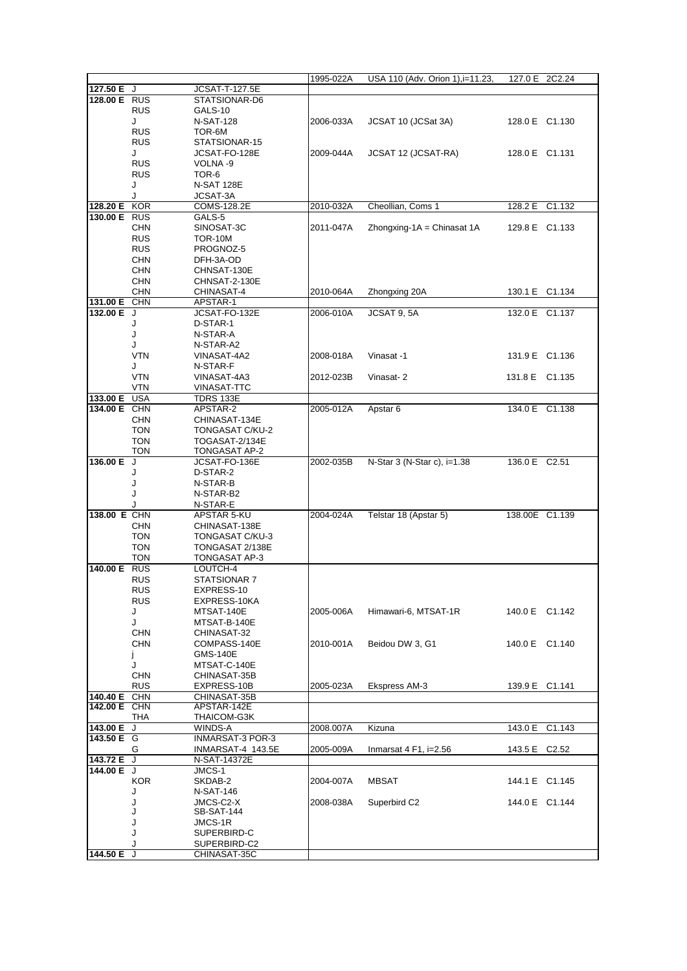|              |                   |                                 | 1995-022A | USA 110 (Adv. Orion 1), i=11.23, |                | 127.0 E 2C2.24 |
|--------------|-------------------|---------------------------------|-----------|----------------------------------|----------------|----------------|
| 127.50 $E$ J |                   | <b>JCSAT-T-127.5E</b>           |           |                                  |                |                |
| 128.00 E RUS |                   | STATSIONAR-D6                   |           |                                  |                |                |
|              | <b>RUS</b>        | GALS-10                         |           |                                  |                |                |
|              | J                 | <b>N-SAT-128</b>                | 2006-033A | JCSAT 10 (JCSat 3A)              | 128.0 E C1.130 |                |
|              | <b>RUS</b>        | TOR-6M                          |           |                                  |                |                |
|              | <b>RUS</b>        | STATSIONAR-15                   |           |                                  |                |                |
|              | J                 | JCSAT-FO-128E                   | 2009-044A | JCSAT 12 (JCSAT-RA)              | 128.0 E C1.131 |                |
|              | <b>RUS</b>        | VOLNA-9                         |           |                                  |                |                |
|              | <b>RUS</b>        | TOR-6                           |           |                                  |                |                |
|              | J                 | <b>N-SAT 128E</b>               |           |                                  |                |                |
| 128.20 E     | J                 | JCSAT-3A                        |           |                                  |                |                |
| 130.00 E RUS | <b>KOR</b>        | COMS-128.2E<br>GALS-5           | 2010-032A | Cheollian, Coms 1                | 128.2 E C1.132 |                |
|              | <b>CHN</b>        | SINOSAT-3C                      | 2011-047A | Zhongxing-1A = Chinasat $1A$     | 129.8 E C1.133 |                |
|              | <b>RUS</b>        | <b>TOR-10M</b>                  |           |                                  |                |                |
|              | <b>RUS</b>        | PROGNOZ-5                       |           |                                  |                |                |
|              | <b>CHN</b>        | DFH-3A-OD                       |           |                                  |                |                |
|              | <b>CHN</b>        | CHNSAT-130E                     |           |                                  |                |                |
|              | <b>CHN</b>        | CHNSAT-2-130E                   |           |                                  |                |                |
|              | <b>CHN</b>        | CHINASAT-4                      | 2010-064A | Zhongxing 20A                    | 130.1 E C1.134 |                |
| 131.00 E     | <b>CHN</b>        | APSTAR-1                        |           |                                  |                |                |
| 132.00 E J   |                   | JCSAT-FO-132E                   | 2006-010A | JCSAT 9, 5A                      | 132.0 E C1.137 |                |
|              | J                 | D-STAR-1                        |           |                                  |                |                |
|              | J                 | N-STAR-A                        |           |                                  |                |                |
|              | J                 | N-STAR-A2                       |           |                                  |                |                |
|              | <b>VTN</b>        | VINASAT-4A2                     | 2008-018A | Vinasat -1                       | 131.9 E C1.136 |                |
|              | J                 | N-STAR-F                        |           |                                  |                |                |
|              | <b>VTN</b>        | VINASAT-4A3                     | 2012-023B | Vinasat-2                        | 131.8 E C1.135 |                |
|              | <b>VTN</b>        | <b>VINASAT-TTC</b>              |           |                                  |                |                |
| 133.00 E USA |                   | <b>TDRS 133E</b>                |           |                                  |                |                |
| 134.00 E CHN |                   | APSTAR-2                        | 2005-012A | Apstar 6                         | 134.0 E C1.138 |                |
|              | <b>CHN</b>        | CHINASAT-134E                   |           |                                  |                |                |
|              | <b>TON</b>        | TONGASAT C/KU-2                 |           |                                  |                |                |
|              | <b>TON</b><br>TON | TOGASAT-2/134E<br>TONGASAT AP-2 |           |                                  |                |                |
| 136.00 E     | J                 | JCSAT-FO-136E                   | 2002-035B | N-Star 3 (N-Star c), i=1.38      | 136.0 E C2.51  |                |
|              | J                 | D-STAR-2                        |           |                                  |                |                |
|              | J                 | N-STAR-B                        |           |                                  |                |                |
|              | J                 | N-STAR-B2                       |           |                                  |                |                |
|              |                   | N-STAR-E                        |           |                                  |                |                |
| 138.00 E CHN |                   | APSTAR 5-KU                     | 2004-024A | Telstar 18 (Apstar 5)            | 138.00E C1.139 |                |
|              | <b>CHN</b>        | CHINASAT-138E                   |           |                                  |                |                |
|              | <b>TON</b>        | TONGASAT C/KU-3                 |           |                                  |                |                |
|              | <b>TON</b>        | TONGASAT 2/138E                 |           |                                  |                |                |
|              | <b>TON</b>        | TONGASAT AP-3                   |           |                                  |                |                |
| 140.00 E RUS |                   | LOUTCH-4                        |           |                                  |                |                |
|              | <b>RUS</b>        | STATSIONAR 7                    |           |                                  |                |                |
|              | <b>RUS</b>        | EXPRESS-10                      |           |                                  |                |                |
|              | RUS               | EXPRESS-10KA                    |           | Himawari-6, MTSAT-1R             |                |                |
|              | J<br>J            | MTSAT-140E                      | 2005-006A |                                  | 140.0 E C1.142 |                |
|              | <b>CHN</b>        | MTSAT-B-140E<br>CHINASAT-32     |           |                                  |                |                |
|              | <b>CHN</b>        | COMPASS-140E                    | 2010-001A | Beidou DW 3, G1                  | 140.0 E C1.140 |                |
|              | Ĵ.                | <b>GMS-140E</b>                 |           |                                  |                |                |
|              | J                 | MTSAT-C-140E                    |           |                                  |                |                |
|              | <b>CHN</b>        | CHINASAT-35B                    |           |                                  |                |                |
|              | <b>RUS</b>        | EXPRESS-10B                     | 2005-023A | Ekspress AM-3                    | 139.9 E C1.141 |                |
| 140.40 E     | <b>CHN</b>        | CHINASAT-35B                    |           |                                  |                |                |
| 142.00 E CHN |                   | APSTAR-142E                     |           |                                  |                |                |
|              | THA               | THAICOM-G3K                     |           |                                  |                |                |
| 143.00 E J   |                   | WINDS-A                         | 2008.007A | Kizuna                           | 143.0 E        | C1.143         |
| 143.50 E G   |                   | INMARSAT-3 POR-3                |           |                                  |                |                |
|              | G                 | INMARSAT-4 143.5E               | 2005-009A | Inmarsat $4$ F1, i=2.56          | 143.5 E C2.52  |                |
| 143.72 E     | J                 | N-SAT-14372E                    |           |                                  |                |                |
| 144.00 E J   |                   | JMCS-1                          |           |                                  |                |                |
|              | KOR               | SKDAB-2                         | 2004-007A | <b>MBSAT</b>                     | 144.1 E C1.145 |                |
|              | J                 | N-SAT-146                       |           |                                  |                |                |
|              | J<br>J            | JMCS-C2-X                       | 2008-038A | Superbird C2                     | 144.0 E C1.144 |                |
|              | J                 | SB-SAT-144<br>JMCS-1R           |           |                                  |                |                |
|              | J                 | SUPERBIRD-C                     |           |                                  |                |                |
|              |                   | SUPERBIRD-C2                    |           |                                  |                |                |
| 144.50 E     | J                 | CHINASAT-35C                    |           |                                  |                |                |
|              |                   |                                 |           |                                  |                |                |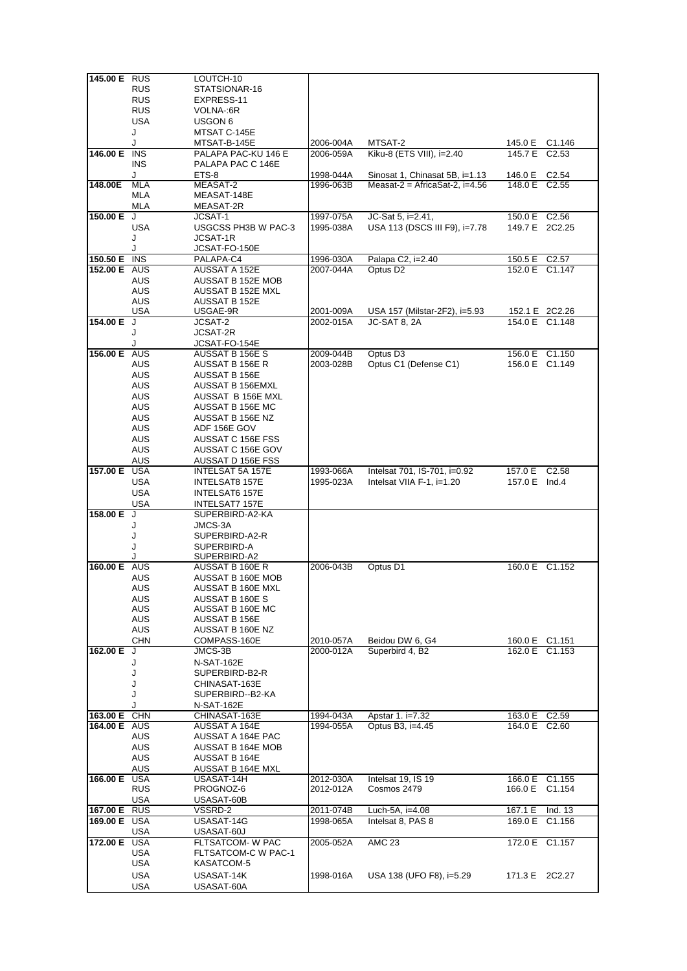| 145.00 E RUS        |            | LOUTCH-10             |           |                                |               |                   |
|---------------------|------------|-----------------------|-----------|--------------------------------|---------------|-------------------|
|                     | <b>RUS</b> | STATSIONAR-16         |           |                                |               |                   |
|                     |            |                       |           |                                |               |                   |
|                     | <b>RUS</b> | EXPRESS-11            |           |                                |               |                   |
|                     | <b>RUS</b> | VOLNA-:6R             |           |                                |               |                   |
|                     | USA        | USGON 6               |           |                                |               |                   |
|                     | J          | MTSAT C-145E          |           |                                |               |                   |
|                     |            |                       |           |                                |               |                   |
|                     | J          | MTSAT-B-145E          | 2006-004A | MTSAT-2                        |               | 145.0 E C1.146    |
| 146.00 E INS        |            | PALAPA PAC-KU 146 E   | 2006-059A | Kiku-8 (ETS VIII), i=2.40      | 145.7 E C2.53 |                   |
|                     | <b>INS</b> | PALAPA PAC C 146E     |           |                                |               |                   |
|                     | J          | ETS-8                 | 1998-044A | Sinosat 1, Chinasat 5B, i=1.13 | 146.0 E C2.54 |                   |
| 148.00E             | MLA        | MEASAT-2              | 1996-063B | Measat-2 = AfricaSat-2, i=4.56 | 148.0 E C2.55 |                   |
|                     |            |                       |           |                                |               |                   |
|                     | MLA        | MEASAT-148E           |           |                                |               |                   |
|                     | MLA        | MEASAT-2R             |           |                                |               |                   |
| 150.00 E            | J          | JCSAT-1               | 1997-075A | JC-Sat 5, i=2.41,              | 150.0 E C2.56 |                   |
|                     | USA        | USGCSS PH3B W PAC-3   | 1995-038A | USA 113 (DSCS III F9), i=7.78  |               | 149.7 E 2C2.25    |
|                     |            |                       |           |                                |               |                   |
|                     | J          | JCSAT-1R              |           |                                |               |                   |
|                     | J          | JCSAT-FO-150E         |           |                                |               |                   |
| 150.50 E INS        |            | PALAPA-C4             | 1996-030A | Palapa C2, i=2.40              | 150.5 E C2.57 |                   |
| 152.00 E AUS        |            | AUSSAT A 152E         | 2007-044A | Optus D <sub>2</sub>           |               | 152.0 E C1.147    |
|                     | AUS        | AUSSAT B 152E MOB     |           |                                |               |                   |
|                     |            |                       |           |                                |               |                   |
|                     | AUS        | AUSSAT B 152E MXL     |           |                                |               |                   |
|                     | AUS        | AUSSAT B 152E         |           |                                |               |                   |
|                     | <b>USA</b> | USGAE-9R              | 2001-009A | USA 157 (Milstar-2F2), i=5.93  |               | 152.1 E 2C2.26    |
| 154.00 E            | J          | JCSAT-2               | 2002-015A | JC-SAT 8, 2A                   |               | 154.0 E C1.148    |
|                     | J          | <b>JCSAT-2R</b>       |           |                                |               |                   |
|                     | J          | JCSAT-FO-154E         |           |                                |               |                   |
| 156.00 E            | AUS        | AUSSAT B 156E S       | 2009-044B | Optus D <sub>3</sub>           |               |                   |
|                     |            |                       |           |                                |               | 156.0 E C1.150    |
|                     | AUS        | AUSSAT B 156E R       | 2003-028B | Optus C1 (Defense C1)          |               | 156.0 E C1.149    |
|                     | <b>AUS</b> | AUSSAT B 156E         |           |                                |               |                   |
|                     | <b>AUS</b> | AUSSAT B 156EMXL      |           |                                |               |                   |
|                     | <b>AUS</b> | AUSSAT B 156E MXL     |           |                                |               |                   |
|                     |            |                       |           |                                |               |                   |
|                     | AUS        | AUSSAT B 156E MC      |           |                                |               |                   |
|                     | AUS        | AUSSAT B 156E NZ      |           |                                |               |                   |
|                     | AUS        | ADF 156E GOV          |           |                                |               |                   |
|                     | <b>AUS</b> | AUSSAT C 156E FSS     |           |                                |               |                   |
|                     | <b>AUS</b> | AUSSAT C 156E GOV     |           |                                |               |                   |
|                     | AUS        | AUSSAT D 156E FSS     |           |                                |               |                   |
|                     |            |                       |           |                                |               |                   |
| 157.00 E            | USA        | INTELSAT 5A 157E      | 1993-066A | Intelsat 701, IS-701, i=0.92   | 157.0 E       | C <sub>2.58</sub> |
|                     | USA        | INTELSAT8 157E        | 1995-023A | Intelsat VIIA F-1, i=1.20      | 157.0 E Ind.4 |                   |
|                     | <b>USA</b> | <b>INTELSAT6 157E</b> |           |                                |               |                   |
|                     | <b>USA</b> | INTELSAT7 157E        |           |                                |               |                   |
| 158.00 E            | J          | SUPERBIRD-A2-KA       |           |                                |               |                   |
|                     | J          | JMCS-3A               |           |                                |               |                   |
|                     |            |                       |           |                                |               |                   |
|                     | J          | SUPERBIRD-A2-R        |           |                                |               |                   |
|                     | J          | SUPERBIRD-A           |           |                                |               |                   |
|                     | J          | SUPERBIRD-A2          |           |                                |               |                   |
| 160.00 E AUS        |            | AUSSAT B 160E R       | 2006-043B | Optus D1                       |               | 160.0 E C1.152    |
|                     | AUS        | AUSSAT B 160E MOB     |           |                                |               |                   |
|                     | AUS        | AUSSAT B 160E MXL     |           |                                |               |                   |
|                     |            | AUSSAT B 160E S       |           |                                |               |                   |
|                     | AUS        |                       |           |                                |               |                   |
|                     | AUS        | AUSSAT B 160E MC      |           |                                |               |                   |
|                     | <b>AUS</b> | AUSSAT B 156E         |           |                                |               |                   |
|                     | AUS        | AUSSAT B 160E NZ      |           |                                |               |                   |
|                     | <b>CHN</b> | COMPASS-160E          | 2010-057A | Beidou DW 6, G4                |               | 160.0 E C1.151    |
| 162.00 E            | J          | JMCS-3B               | 2000-012A | Superbird 4, B2                |               | 162.0 E C1.153    |
|                     | J          | N-SAT-162E            |           |                                |               |                   |
|                     | J          |                       |           |                                |               |                   |
|                     |            | SUPERBIRD-B2-R        |           |                                |               |                   |
|                     | J          | CHINASAT-163E         |           |                                |               |                   |
|                     | J          | SUPERBIRD--B2-KA      |           |                                |               |                   |
|                     | J          | N-SAT-162E            |           |                                |               |                   |
| 163.00 E CHN        |            | CHINASAT-163E         | 1994-043A | Apstar 1. i=7.32               | 163.0 E C2.59 |                   |
| <b>164.00 E AUS</b> |            | AUSSAT A 164E         | 1994-055A | Optus B3, i=4.45               | 164.0 E C2.60 |                   |
|                     | AUS        | AUSSAT A 164E PAC     |           |                                |               |                   |
|                     |            |                       |           |                                |               |                   |
|                     | <b>AUS</b> | AUSSAT B 164E MOB     |           |                                |               |                   |
|                     | AUS        | AUSSAT B 164E         |           |                                |               |                   |
|                     | AUS        | AUSSAT B 164E MXL     |           |                                |               |                   |
| 166.00 E            | USA        | USASAT-14H            | 2012-030A | Intelsat 19, IS 19             | 166.0 E       | C1.155            |
|                     | <b>RUS</b> | PROGNOZ-6             | 2012-012A | Cosmos 2479                    | 166.0 E       | C1.154            |
|                     | USA        | USASAT-60B            |           |                                |               |                   |
| 167.00 E            | <b>RUS</b> | VSSRD-2               | 2011-074B | Luch-5A, i=4.08                | 167.1 E       | Ind. 13           |
| 169.00 E USA        |            |                       |           | Intelsat 8, PAS 8              |               |                   |
|                     |            | USASAT-14G            | 1998-065A |                                |               | 169.0 E C1.156    |
|                     | USA        | USASAT-60J            |           |                                |               |                   |
| 172.00 E            | <b>USA</b> | FLTSATCOM- W PAC      | 2005-052A | <b>AMC 23</b>                  |               | 172.0 E C1.157    |
|                     | USA        | FLTSATCOM-C W PAC-1   |           |                                |               |                   |
|                     | USA        | KASATCOM-5            |           |                                |               |                   |
|                     |            |                       |           |                                |               |                   |
|                     | USA        | USASAT-14K            | 1998-016A | USA 138 (UFO F8), i=5.29       |               | 171.3 E 2C2.27    |
|                     | USA        | USASAT-60A            |           |                                |               |                   |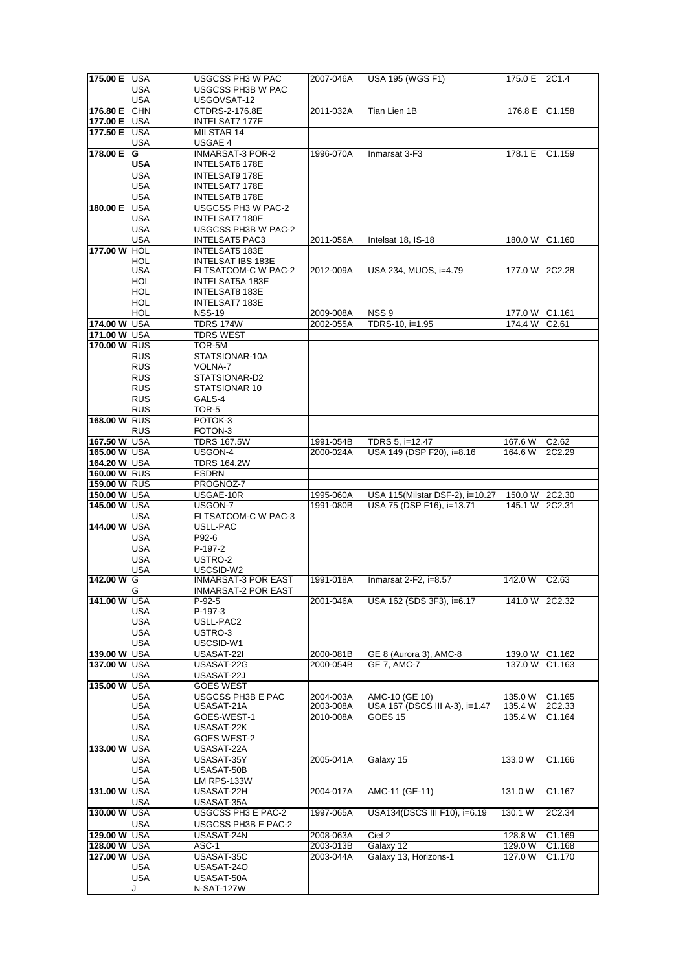| 175.00 E USA |            | USGCSS PH3 W PAC                | 2007-046A | USA 195 (WGS F1)                | 175.0 E 2C1.4  |                    |
|--------------|------------|---------------------------------|-----------|---------------------------------|----------------|--------------------|
|              | USA        | USGCSS PH3B W PAC               |           |                                 |                |                    |
|              | <b>USA</b> | USGOVSAT-12                     |           |                                 |                |                    |
| 176.80 E CHN |            | CTDRS-2-176.8E                  | 2011-032A | Tian Lien 1B                    | 176.8 E        | C1.158             |
| 177.00 E USA |            | INTELSAT7 177E                  |           |                                 |                |                    |
| 177.50 E USA |            | MILSTAR 14                      |           |                                 |                |                    |
|              | USA        | USGAE 4                         |           |                                 |                |                    |
| 178.00 E     | G          | INMARSAT-3 POR-2                | 1996-070A | Inmarsat 3-F3                   | 178.1 E C1.159 |                    |
|              | <b>USA</b> | INTELSAT6 178E                  |           |                                 |                |                    |
|              | USA        | INTELSAT9 178E                  |           |                                 |                |                    |
|              | USA        | INTELSAT7 178E                  |           |                                 |                |                    |
|              | <b>USA</b> | INTELSAT8 178E                  |           |                                 |                |                    |
| 180.00 E     | USA        | USGCSS PH3 W PAC-2              |           |                                 |                |                    |
|              | USA        | <b>INTELSAT7 180E</b>           |           |                                 |                |                    |
|              | <b>USA</b> | USGCSS PH3B W PAC-2             |           |                                 |                |                    |
|              | USA        | <b>INTELSAT5 PAC3</b>           | 2011-056A | Intelsat 18, IS-18              | 180.0 W C1.160 |                    |
| 177.00 W HOL |            | <b>INTELSAT5 183E</b>           |           |                                 |                |                    |
|              | HOL        | <b>INTELSAT IBS 183E</b>        |           |                                 |                |                    |
|              | USA        | FLTSATCOM-C W PAC-2             | 2012-009A | USA 234, MUOS, i=4.79           | 177.0 W 2C2.28 |                    |
|              | HOL        | INTELSAT5A 183E                 |           |                                 |                |                    |
|              | HOL        | <b>INTELSAT8 183E</b>           |           |                                 |                |                    |
|              | <b>HOL</b> | INTELSAT7 183E                  |           |                                 |                |                    |
|              | HOL        | <b>NSS-19</b>                   | 2009-008A | NSS <sub>9</sub>                | 177.0 W C1.161 |                    |
| 174.00 W USA |            | <b>TDRS 174W</b>                | 2002-055A | TDRS-10, i=1.95                 | 174.4 W        | C <sub>2.61</sub>  |
| 171.00 W USA |            | <b>TDRS WEST</b>                |           |                                 |                |                    |
| 170.00 W RUS |            | TOR-5M                          |           |                                 |                |                    |
|              | <b>RUS</b> | STATSIONAR-10A                  |           |                                 |                |                    |
|              | <b>RUS</b> | VOLNA-7                         |           |                                 |                |                    |
|              | <b>RUS</b> | STATSIONAR-D2                   |           |                                 |                |                    |
|              | <b>RUS</b> | STATSIONAR 10                   |           |                                 |                |                    |
|              | <b>RUS</b> | GALS-4                          |           |                                 |                |                    |
| 168.00 W RUS | <b>RUS</b> | TOR-5                           |           |                                 |                |                    |
|              | <b>RUS</b> | POTOK-3<br>FOTON-3              |           |                                 |                |                    |
| 167.50 W USA |            | <b>TDRS 167.5W</b>              | 1991-054B | TDRS 5, i=12.47                 | 167.6 W        | C <sub>2.62</sub>  |
| 165.00 W USA |            | USGON-4                         | 2000-024A | USA 149 (DSP F20), i=8.16       | 164.6 W        | 2C2.29             |
| 164.20 W USA |            | <b>TDRS 164.2W</b>              |           |                                 |                |                    |
| 160.00 W RUS |            | <b>ESDRN</b>                    |           |                                 |                |                    |
| 159.00 W RUS |            | PROGNOZ-7                       |           |                                 |                |                    |
| 150.00 W USA |            | USGAE-10R                       | 1995-060A | USA 115(Milstar DSF-2), i=10.27 | 150.0 W 2C2.30 |                    |
| 145.00 W USA |            | USGON-7                         | 1991-080B | USA 75 (DSP F16), i=13.71       | 145.1 W 2C2.31 |                    |
|              |            |                                 |           |                                 |                |                    |
|              |            |                                 |           |                                 |                |                    |
|              | USA        | FLTSATCOM-C W PAC-3<br>USLL-PAC |           |                                 |                |                    |
| 144.00 W USA | USA        | P92-6                           |           |                                 |                |                    |
|              | <b>USA</b> | P-197-2                         |           |                                 |                |                    |
|              | USA        | USTRO-2                         |           |                                 |                |                    |
|              | USA        | USCSID-W2                       |           |                                 |                |                    |
| 142.00 W G   |            | <b>INMARSAT-3 POR EAST</b>      | 1991-018A | Inmarsat $2$ -F2, i=8.57        | 142.0 W C2.63  |                    |
|              | G          | INMARSAT-2 POR EAST             |           |                                 |                |                    |
| 141.00 W USA |            | $P-92-5$                        | 2001-046A | USA 162 (SDS 3F3), i=6.17       | 141.0 W 2C2.32 |                    |
|              | USA        | P-197-3                         |           |                                 |                |                    |
|              | USA        | USLL-PAC2                       |           |                                 |                |                    |
|              | <b>USA</b> | USTRO-3                         |           |                                 |                |                    |
|              | USA        | USCSID-W1                       |           |                                 |                |                    |
| 139.00 W USA |            | USASAT-22I                      | 2000-081B | GE 8 (Aurora 3), AMC-8          | 139.0 W        | C1.162             |
| 137.00 W USA |            | USASAT-22G                      | 2000-054B | <b>GE 7, AMC-7</b>              | 137.0 W C1.163 |                    |
|              | USA        | USASAT-22J                      |           |                                 |                |                    |
| 135.00 W USA |            | <b>GOES WEST</b>                |           |                                 |                |                    |
|              | USA        | USGCSS PH3B E PAC               | 2004-003A | AMC-10 (GE 10)                  | 135.0 W        | C <sub>1.165</sub> |
|              | <b>USA</b> | USASAT-21A                      | 2003-008A | USA 167 (DSCS III A-3), i=1.47  | 135.4 W        | 2C2.33             |
|              | USA        | GOES-WEST-1                     | 2010-008A | GOES <sub>15</sub>              | 135.4 W        | C1.164             |
|              | <b>USA</b> | USASAT-22K                      |           |                                 |                |                    |
|              | <b>USA</b> | GOES WEST-2                     |           |                                 |                |                    |
| 133.00 W USA |            | USASAT-22A<br>USASAT-35Y        |           |                                 |                |                    |
|              | USA<br>USA | USASAT-50B                      | 2005-041A | Galaxy 15                       | 133.0 W        | C1.166             |
|              | USA        | LM RPS-133W                     |           |                                 |                |                    |
| 131.00 W USA |            | USASAT-22H                      | 2004-017A | AMC-11 (GE-11)                  | 131.0 W        | C1.167             |
|              | USA        | USASAT-35A                      |           |                                 |                |                    |
| 130.00 W USA |            | USGCSS PH3 E PAC-2              | 1997-065A | USA134(DSCS III F10), i=6.19    | 130.1 W        | 2C2.34             |
|              | <b>USA</b> | USGCSS PH3B E PAC-2             |           |                                 |                |                    |
| 129.00 W USA |            | USASAT-24N                      | 2008-063A | Ciel 2                          | 128.8 W        | C1.169             |
| 128.00 W USA |            | ASC-1                           | 2003-013B | Galaxy 12                       | 129.0 W        | C <sub>1.168</sub> |
| 127.00 W USA |            | USASAT-35C                      | 2003-044A | Galaxy 13, Horizons-1           | 127.0 W        | C <sub>1.170</sub> |
|              | USA        | USASAT-24O                      |           |                                 |                |                    |
|              | USA        | USASAT-50A                      |           |                                 |                |                    |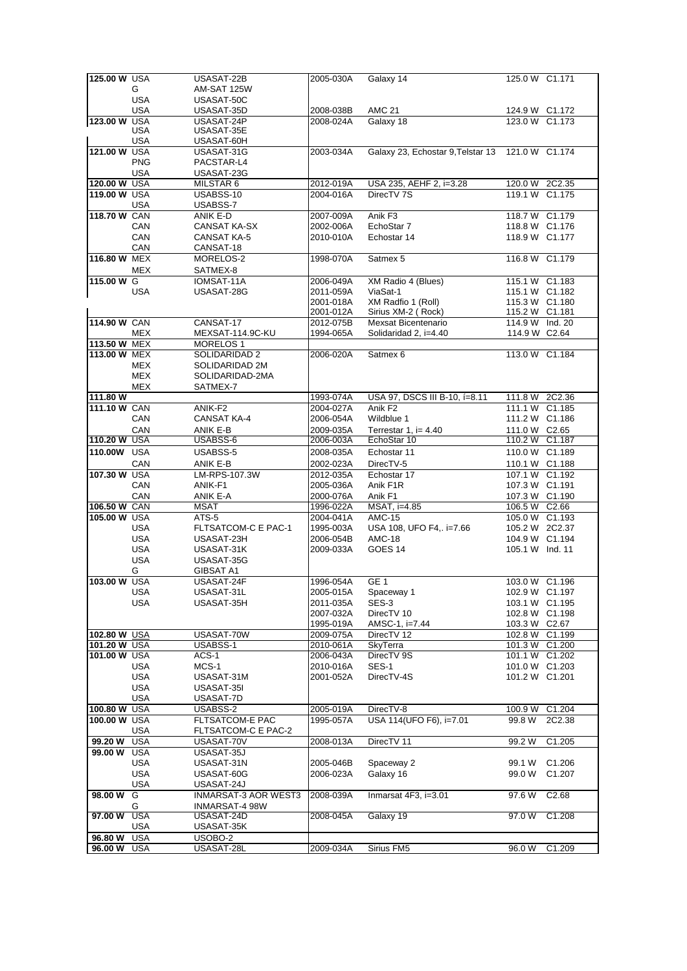| 125,00 W USA       |                          | USASAT-22B             | 2005-030A | Galaxy 14                                        | 125.0 W C1.171  |                    |
|--------------------|--------------------------|------------------------|-----------|--------------------------------------------------|-----------------|--------------------|
|                    |                          |                        |           |                                                  |                 |                    |
|                    | G                        | AM-SAT 125W            |           |                                                  |                 |                    |
|                    | <b>USA</b>               | USASAT-50C             |           |                                                  |                 |                    |
|                    |                          |                        |           |                                                  |                 |                    |
|                    | <b>USA</b>               | USASAT-35D             | 2008-038B | <b>AMC 21</b>                                    | 124.9 W C1.172  |                    |
| 123.00 W           | <b>USA</b>               | USASAT-24P             | 2008-024A | Galaxy 18                                        | 123.0 W C1.173  |                    |
|                    |                          |                        |           |                                                  |                 |                    |
|                    | <b>USA</b>               | USASAT-35E             |           |                                                  |                 |                    |
|                    | <b>USA</b>               | USASAT-60H             |           |                                                  |                 |                    |
|                    |                          |                        |           |                                                  |                 |                    |
| 121.00 W USA       |                          | USASAT-31G             | 2003-034A | Galaxy 23, Echostar 9, Telstar 13 121.0 W C1.174 |                 |                    |
|                    | <b>PNG</b>               | PACSTAR-L4             |           |                                                  |                 |                    |
|                    |                          |                        |           |                                                  |                 |                    |
|                    | <b>USA</b>               | USASAT-23G             |           |                                                  |                 |                    |
| 120.00 W USA       |                          | MILSTAR 6              | 2012-019A | USA 235, AEHF 2, i=3.28                          | 120.0 W 2C2.35  |                    |
|                    |                          |                        |           |                                                  |                 |                    |
| 119.00 W USA       |                          | USABSS-10              | 2004-016A | DirecTV 7S                                       | 119.1 W C1.175  |                    |
|                    | USA                      | USABSS-7               |           |                                                  |                 |                    |
|                    |                          |                        |           |                                                  |                 |                    |
| 118.70 W CAN       |                          | ANIK E-D               | 2007-009A | Anik F3                                          | 118.7 W C1.179  |                    |
|                    | CAN                      | CANSAT KA-SX           | 2002-006A | EchoStar 7                                       | 118.8 W C1.176  |                    |
|                    |                          |                        |           |                                                  |                 |                    |
|                    | CAN                      | <b>CANSAT KA-5</b>     | 2010-010A | Echostar 14                                      | 118.9 W C1.177  |                    |
|                    |                          |                        |           |                                                  |                 |                    |
|                    | CAN                      | CANSAT-18              |           |                                                  |                 |                    |
| 116.80 W MEX       |                          | MORELOS-2              | 1998-070A | Satmex 5                                         | 116.8 W C1.179  |                    |
|                    |                          |                        |           |                                                  |                 |                    |
|                    | <b>MEX</b>               | SATMEX-8               |           |                                                  |                 |                    |
| 115.00 W G         |                          | IOMSAT-11A             | 2006-049A | XM Radio 4 (Blues)                               | 115.1 W C1.183  |                    |
|                    |                          |                        |           |                                                  |                 |                    |
|                    | <b>USA</b>               | USASAT-28G             | 2011-059A | ViaSat-1                                         | 115.1 W C1.182  |                    |
|                    |                          |                        | 2001-018A | XM Radfio 1 (Roll)                               | 115.3 W C1.180  |                    |
|                    |                          |                        |           |                                                  |                 |                    |
|                    |                          |                        | 2001-012A | Sirius XM-2 (Rock)                               | 115.2 W C1.181  |                    |
| 114.90 W CAN       |                          | CANSAT-17              | 2012-075B | Mexsat Bicentenario                              | 114.9 W Ind. 20 |                    |
|                    |                          |                        |           |                                                  |                 |                    |
|                    | MEX                      | MEXSAT-114.9C-KU       | 1994-065A | Solidaridad 2, i=4.40                            | 114.9 W C2.64   |                    |
| 113.50 W MEX       |                          | <b>MORELOS1</b>        |           |                                                  |                 |                    |
|                    |                          |                        |           |                                                  |                 |                    |
| 113.00 W MEX       |                          | SOLIDARIDAD 2          | 2006-020A | Satmex 6                                         | 113.0 W C1.184  |                    |
|                    |                          | SOLIDARIDAD 2M         |           |                                                  |                 |                    |
|                    | <b>MEX</b>               |                        |           |                                                  |                 |                    |
|                    | <b>MEX</b>               | SOLIDARIDAD-2MA        |           |                                                  |                 |                    |
|                    |                          |                        |           |                                                  |                 |                    |
|                    | <b>MEX</b>               | SATMEX-7               |           |                                                  |                 |                    |
| 111.80 W           |                          |                        | 1993-074A | USA 97, DSCS III B-10, í=8.11                    | 111.8 W 2C2.36  |                    |
|                    |                          |                        |           |                                                  |                 |                    |
| 111.10 W CAN       |                          | ANIK-F2                | 2004-027A | Anik F <sub>2</sub>                              | 111.1 W C1.185  |                    |
|                    | CAN                      | <b>CANSAT KA-4</b>     | 2006-054A | Wildblue 1                                       | 111.2 W C1.186  |                    |
|                    |                          |                        |           |                                                  |                 |                    |
|                    | CAN                      | ANIK E-B               | 2009-035A | Terrestar 1, $i=4.40$                            | 111.0 W C2.65   |                    |
| 110.20 W USA       |                          | USABSS-6               | 2006-003A | EchoStar 10                                      | 110.2 W C1.187  |                    |
|                    |                          |                        |           |                                                  |                 |                    |
| 110.00W USA        |                          | USABSS-5               | 2008-035A | Echostar 11                                      | 110.0 W C1.189  |                    |
|                    |                          |                        |           |                                                  |                 |                    |
|                    | CAN                      | ANIK E-B               | 2002-023A | DirecTV-5                                        | 110.1 W C1.188  |                    |
| 107.30 W USA       |                          | LM-RPS-107.3W          | 2012-035A | Echostar 17                                      | 107.1 W C1.192  |                    |
|                    |                          |                        |           |                                                  |                 |                    |
|                    | CAN                      | ANIK-F1                | 2005-036A | Anik F1R                                         | 107.3 W C1.191  |                    |
|                    | CAN                      | ANIK E-A               | 2000-076A | Anik F1                                          | 107.3 W C1.190  |                    |
|                    |                          |                        |           |                                                  |                 |                    |
| 106.50 W CAN       |                          | MSAT                   | 1996-022A | MSAT, i=4.85                                     | 106.5 W C2.66   |                    |
| 105.00 W USA       |                          | $ATS-5$                | 2004-041A | <b>AMC-15</b>                                    | 105.0 W C1.193  |                    |
|                    |                          |                        |           |                                                  |                 |                    |
|                    | <b>USA</b>               | FLTSATCOM-C E PAC-1    | 1995-003A | USA 108, UFO F4,. i=7.66                         | 105.2 W 2C2.37  |                    |
|                    | <b>USA</b>               | USASAT-23H             | 2006-054B | <b>AMC-18</b>                                    | 104.9 W C1.194  |                    |
|                    |                          |                        |           |                                                  |                 |                    |
|                    | <b>USA</b>               | USASAT-31K             | 2009-033A | GOES <sub>14</sub>                               | 105.1 W Ind. 11 |                    |
|                    | <b>USA</b>               | USASAT-35G             |           |                                                  |                 |                    |
|                    |                          |                        |           |                                                  |                 |                    |
|                    | G                        | <b>GIBSAT A1</b>       |           |                                                  |                 |                    |
| 103.00 W USA       |                          | USASAT-24F             | 1996-054A | GE1                                              | 103.0 W C1.196  |                    |
|                    |                          |                        |           |                                                  |                 |                    |
|                    | USA                      | USASAT-31L             | 2005-015A | Spaceway 1                                       | 102.9 W C1.197  |                    |
|                    | USA                      | USASAT-35H             | 2011-035A | SES-3                                            | 103.1 W C1.195  |                    |
|                    |                          |                        |           |                                                  |                 |                    |
|                    |                          |                        | 2007-032A | DirecTV 10                                       | 102.8 W C1.198  |                    |
|                    |                          |                        | 1995-019A | AMSC-1, i=7.44                                   | 103.3 W C2.67   |                    |
|                    |                          |                        |           |                                                  |                 |                    |
| 102.80 W USA       |                          | USASAT-70W             | 2009-075A | DirecTV 12                                       | 102.8 W C1.199  |                    |
| 101.20 W           | <b>USA</b>               | USABSS-1               | 2010-061A | SkyTerra                                         | 101.3 W         | C1.200             |
|                    |                          |                        |           |                                                  |                 |                    |
| 101.00 W USA       |                          | ACS-1                  | 2006-043A | DirecTV 9S                                       | 101.1 W C1.202  |                    |
|                    | <b>USA</b>               | MCS-1                  | 2010-016A | <b>SES-1</b>                                     | 101.0 W C1.203  |                    |
|                    |                          |                        |           |                                                  |                 |                    |
|                    | <b>USA</b>               | USASAT-31M             | 2001-052A | DirecTV-4S                                       | 101.2 W C1.201  |                    |
|                    | <b>USA</b>               | USASAT-35I             |           |                                                  |                 |                    |
|                    |                          |                        |           |                                                  |                 |                    |
|                    | <b>USA</b>               | USASAT-7D              |           |                                                  |                 |                    |
| 100.80W            | <b>USA</b>               | USABSS-2               | 2005-019A | DirecTV-8                                        |                 | C1.204             |
|                    |                          |                        |           |                                                  | 100.9 W         |                    |
| 100.00 W USA       |                          | <b>FLTSATCOM-E PAC</b> | 1995-057A | USA 114(UFO F6), i=7.01                          | 99.8 W          | 2C2.38             |
|                    | USA                      | FLTSATCOM-C E PAC-2    |           |                                                  |                 |                    |
|                    |                          |                        |           |                                                  |                 |                    |
| 99.20 W            | <b>USA</b>               | USASAT-70V             | 2008-013A | DirecTV 11                                       | 99.2 W          | C1.205             |
|                    |                          |                        |           |                                                  |                 |                    |
| 99.00 W            | <b>USA</b>               | USASAT-35J             |           |                                                  |                 |                    |
|                    | <b>USA</b>               | USASAT-31N             | 2005-046B | Spaceway 2                                       | 99.1 W          | C <sub>1.206</sub> |
|                    |                          |                        |           |                                                  |                 |                    |
|                    | <b>USA</b>               | USASAT-60G             | 2006-023A | Galaxy 16                                        | 99.0 W          | C <sub>1.207</sub> |
|                    | <b>USA</b>               | USASAT-24J             |           |                                                  |                 |                    |
|                    |                          |                        |           |                                                  |                 |                    |
| 98.00 W            | G                        | INMARSAT-3 AOR WEST3   | 2008-039A | Inmarsat 4F3, i=3.01                             | 97.6 W          | C2.68              |
|                    |                          |                        |           |                                                  |                 |                    |
|                    | G                        | INMARSAT-4 98W         |           |                                                  |                 |                    |
| 97.00 W            | <b>USA</b>               | USASAT-24D             | 2008-045A | Galaxy 19                                        | 97.0W           | C1.208             |
|                    |                          |                        |           |                                                  |                 |                    |
|                    |                          |                        |           |                                                  |                 |                    |
|                    | <b>USA</b>               | USASAT-35K             |           |                                                  |                 |                    |
|                    |                          |                        |           |                                                  |                 |                    |
| 96.80 W<br>96.00 W | <b>USA</b><br><b>USA</b> | USOBO-2<br>USASAT-28L  | 2009-034A | Sirius FM5                                       | 96.0 W          | C1.209             |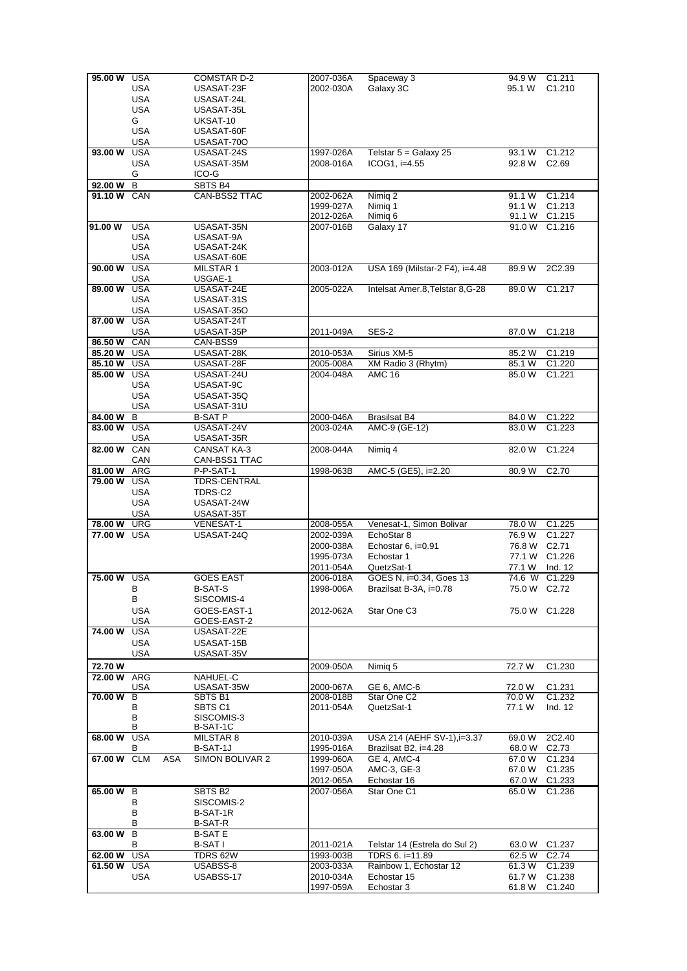| 95.00 W     | USA        |            | COMSTAR D-2        | 2007-036A | Spaceway 3                       | 94.9 W       | C1.211             |
|-------------|------------|------------|--------------------|-----------|----------------------------------|--------------|--------------------|
|             | USA        |            | USASAT-23F         | 2002-030A | Galaxy 3C                        | 95.1 W       | C1.210             |
|             |            |            |                    |           |                                  |              |                    |
|             | <b>USA</b> |            | USASAT-24L         |           |                                  |              |                    |
|             | <b>USA</b> |            | USASAT-35L         |           |                                  |              |                    |
|             | G          |            | UKSAT-10           |           |                                  |              |                    |
|             | <b>USA</b> |            | USASAT-60F         |           |                                  |              |                    |
|             | USA        |            | USASAT-70O         |           |                                  |              |                    |
|             |            |            |                    |           |                                  |              |                    |
| 93.00 W     | <b>USA</b> |            | USASAT-24S         | 1997-026A | Telstar $5 =$ Galaxy 25          | 93.1 W       | C1.212             |
|             | USA        |            | USASAT-35M         | 2008-016A | $ICOG1, i=4.55$                  | 92.8 W       | C <sub>2.69</sub>  |
|             | G          |            | ICO-G              |           |                                  |              |                    |
| 92.00 W     | B          |            | SBTS B4            |           |                                  |              |                    |
| 91.10 W CAN |            |            | CAN-BSS2 TTAC      | 2002-062A | Nimig 2                          | 91.1 W       | C1.214             |
|             |            |            |                    | 1999-027A | Nimia 1                          | 91.1 W       | C1.213             |
|             |            |            |                    |           |                                  |              |                    |
|             |            |            |                    | 2012-026A | Nimiq 6                          | 91.1 W       | C1.215             |
| 91.00 W     | <b>USA</b> |            | USASAT-35N         | 2007-016B | Galaxy 17                        | 91.0 W       | C1.216             |
|             | <b>USA</b> |            | USASAT-9A          |           |                                  |              |                    |
|             | USA        |            | USASAT-24K         |           |                                  |              |                    |
|             | <b>USA</b> |            | USASAT-60E         |           |                                  |              |                    |
| 90.00 W     | <b>USA</b> |            | MILSTAR 1          | 2003-012A | USA 169 (Milstar-2 F4), i=4.48   | 89.9 W       | 2C2.39             |
|             | USA        |            | USGAE-1            |           |                                  |              |                    |
|             |            |            |                    |           |                                  |              |                    |
| 89.00 W     | <b>USA</b> |            | USASAT-24E         | 2005-022A | Intelsat Amer.8, Telstar 8, G-28 | 89.0 W       | C1.217             |
|             | <b>USA</b> |            | USASAT-31S         |           |                                  |              |                    |
|             | USA        |            | USASAT-35O         |           |                                  |              |                    |
| 87.00 W     | <b>USA</b> |            | USASAT-24T         |           |                                  |              |                    |
|             | <b>USA</b> |            | USASAT-35P         | 2011-049A | SES-2                            | 87.0 W       | C1.218             |
| 86.50 W     | CAN        |            | CAN-BSS9           |           |                                  |              |                    |
|             |            |            |                    |           |                                  |              |                    |
| 85.20 W     | <b>USA</b> |            | USASAT-28K         | 2010-053A | Sirius XM-5                      | 85.2 W       | C1.219             |
| 85.10 W     | USA        |            | USASAT-28F         | 2005-008A | XM Radio 3 (Rhytm)               | 85.1 W       | C <sub>1.220</sub> |
| 85.00 W     | <b>USA</b> |            | USASAT-24U         | 2004-048A | <b>AMC 16</b>                    | 85.0 W       | C <sub>1.221</sub> |
|             | USA        |            | USASAT-9C          |           |                                  |              |                    |
|             | <b>USA</b> |            | USASAT-35Q         |           |                                  |              |                    |
|             | <b>USA</b> |            | USASAT-31U         |           |                                  |              |                    |
|             |            |            |                    |           |                                  |              |                    |
| 84.00 W     | B          |            | <b>B-SAT P</b>     | 2000-046A | <b>Brasilsat B4</b>              | 84.0 W       | C1.222             |
| 83.00 W     | <b>USA</b> |            | USASAT-24V         | 2003-024A | AMC-9 (GE-12)                    | 83.0 W       | C1.223             |
|             | USA        |            | USASAT-35R         |           |                                  |              |                    |
| 82.00 W     | CAN        |            | <b>CANSAT KA-3</b> | 2008-044A | Nimig 4                          | 82.0 W       | C1.224             |
|             | CAN        |            | CAN-BSS1 TTAC      |           |                                  |              |                    |
|             |            |            |                    |           |                                  | 80.9 W       | C2.70              |
| 81.00 W     | ARG        |            | P-P-SAT-1          | 1998-063B | AMC-5 (GE5), i=2.20              |              |                    |
| 79.00 W     | USA        |            | TDRS-CENTRAL       |           |                                  |              |                    |
|             | USA        |            | TDRS-C2            |           |                                  |              |                    |
|             | <b>USA</b> |            | USASAT-24W         |           |                                  |              |                    |
|             | <b>USA</b> |            | USASAT-35T         |           |                                  |              |                    |
| 78.00 W     | <b>URG</b> |            | <b>VENESAT-1</b>   | 2008-055A | Venesat-1, Simon Bolivar         | 78.0 W       | C1.225             |
|             |            |            |                    |           |                                  |              |                    |
| 77.00 W USA |            |            | USASAT-24Q         | 2002-039A | EchoStar 8                       | 76.9 W       | C1.227             |
|             |            |            |                    | 2000-038A | Echostar 6, i=0.91               | 76.8 W C2.71 |                    |
|             |            |            |                    | 1995-073A | Echostar 1                       |              | 77.1 W C1.226      |
|             |            |            |                    | 2011-054A | QuetzSat-1                       | 77.1 W       | Ind. 12            |
| 75.00 W USA |            |            | <b>GOES EAST</b>   | 2006-018A | GOES N, i=0.34, Goes 13          |              | 74.6 W C1.229      |
|             | В          |            | <b>B-SAT-S</b>     | 1998-006A | Brazilsat B-3A, i=0.78           | 75.0 W C2.72 |                    |
|             |            |            |                    |           |                                  |              |                    |
|             | В          |            | SISCOMIS-4         |           |                                  |              |                    |
|             | <b>USA</b> |            | GOES-EAST-1        | 2012-062A | Star One C <sub>3</sub>          |              | 75.0 W C1.228      |
|             | USA        |            | GOES-EAST-2        |           |                                  |              |                    |
| 74.00 W     | USA        |            | USASAT-22E         |           |                                  |              |                    |
|             | USA        |            | USASAT-15B         |           |                                  |              |                    |
|             | <b>USA</b> |            | USASAT-35V         |           |                                  |              |                    |
|             |            |            |                    |           |                                  |              |                    |
| 72.70 W     |            |            |                    | 2009-050A | Nimig 5                          | 72.7 W       | C1.230             |
| 72.00 W     | ARG        |            | NAHUEL-C           |           |                                  |              |                    |
|             | USA        |            | USASAT-35W         | 2000-067A | GE 6, AMC-6                      | 72.0 W       | C1.231             |
| 70.00 W     | В          |            | SBTS B1            | 2008-018B | Star One C2                      | 70.0 W       | C1.232             |
|             | в          |            | SBTS C1            | 2011-054A | QuetzSat-1                       | 77.1 W       | Ind. 12            |
|             | В          |            | SISCOMIS-3         |           |                                  |              |                    |
|             | В          |            | B-SAT-1C           |           |                                  |              |                    |
|             |            |            |                    |           | USA 214 (AEHF SV-1), i=3.37      |              |                    |
| 68.00 W     | USA        |            | MILSTAR 8          | 2010-039A |                                  | 69.0W        | 2C2.40             |
|             | В          |            | B-SAT-1J           | 1995-016A | Brazilsat B2, i=4.28             | 68.0 W       | C <sub>2.73</sub>  |
| 67.00 W CLM |            | <b>ASA</b> | SIMON BOLIVAR 2    | 1999-060A | <b>GE 4, AMC-4</b>               | 67.0 W       | C1.234             |
|             |            |            |                    | 1997-050A | AMC-3, GE-3                      | 67.0W        | C1.235             |
|             |            |            |                    | 2012-065A | Echostar 16                      |              | 67.0 W C1.233      |
| 65.00 W B   |            |            | SBTS B2            | 2007-056A | Star One C1                      | 65.0 W       | C1.236             |
|             |            |            |                    |           |                                  |              |                    |
|             | В          |            | SISCOMIS-2         |           |                                  |              |                    |
|             | В          |            | B-SAT-1R           |           |                                  |              |                    |
|             | в          |            | <b>B-SAT-R</b>     |           |                                  |              |                    |
| 63.00 W     | В          |            | <b>B-SAT E</b>     |           |                                  |              |                    |
|             | В          |            | B-SAT I            | 2011-021A | Telstar 14 (Estrela do Sul 2)    |              | 63.0 W C1.237      |
|             |            |            |                    |           |                                  |              |                    |
| 62.00 W     | <b>USA</b> |            | TDRS 62W           | 1993-003B | TDRS 6. i=11.89                  | 62.5 W       | C <sub>2.74</sub>  |
| 61.50 W USA |            |            | USABSS-8           | 2003-033A | Rainbow 1, Echostar 12           | 61.3 W       | C1.239             |
|             | USA        |            | USABSS-17          | 2010-034A | Echostar 15                      | 61.7 W       | C1.238             |
|             |            |            |                    | 1997-059A | Echostar 3                       | 61.8 W       | C <sub>1.240</sub> |
|             |            |            |                    |           |                                  |              |                    |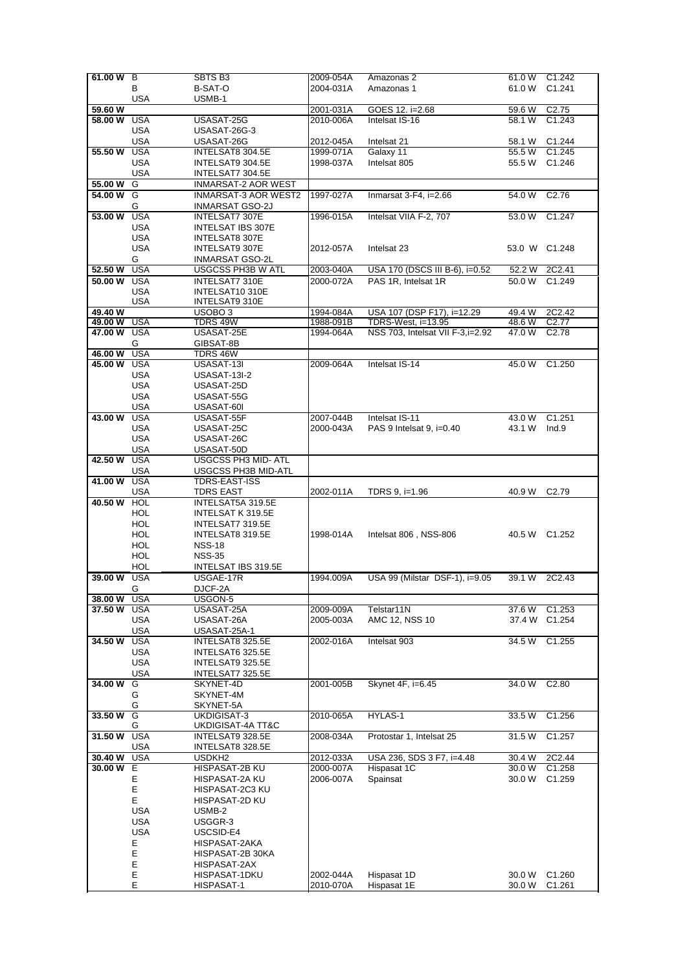| 61.00 W B   |            | SBTS B <sub>3</sub>        | 2009-054A | Amazonas 2                       | 61.0 W | C <sub>1.242</sub> |
|-------------|------------|----------------------------|-----------|----------------------------------|--------|--------------------|
|             | В          | <b>B-SAT-O</b>             | 2004-031A | Amazonas 1                       | 61.0 W | C <sub>1.241</sub> |
|             |            |                            |           |                                  |        |                    |
|             | <b>USA</b> | USMB-1                     |           |                                  |        |                    |
| 59.60 W     |            |                            | 2001-031A | GOES 12. i=2.68                  | 59.6 W | C <sub>2.75</sub>  |
| 58.00 W     | <b>USA</b> | USASAT-25G                 | 2010-006A | Intelsat IS-16                   | 58.1 W | C1.243             |
|             | <b>USA</b> | USASAT-26G-3               |           |                                  |        |                    |
|             | <b>USA</b> | USASAT-26G                 | 2012-045A | Intelsat 21                      | 58.1 W | C1.244             |
| 55.50 W     | <b>USA</b> |                            | 1999-071A | Galaxy 11                        | 55.5 W | C1.245             |
|             |            | INTELSAT8 304.5E           |           |                                  |        |                    |
|             | <b>USA</b> | INTELSAT9 304.5E           | 1998-037A | Intelsat 805                     | 55.5 W | C <sub>1.246</sub> |
|             | <b>USA</b> | INTELSAT7 304.5E           |           |                                  |        |                    |
| 55.00 W     | G          | <b>INMARSAT-2 AOR WEST</b> |           |                                  |        |                    |
| 54.00 W G   |            | INMARSAT-3 AOR WEST2       | 1997-027A | Inmarsat 3-F4, i=2.66            | 54.0 W | C <sub>2.76</sub>  |
|             |            |                            |           |                                  |        |                    |
|             | G          | INMARSAT GSO-2J            |           |                                  |        |                    |
| 53.00 W     | <b>USA</b> | INTELSAT7 307E             | 1996-015A | Intelsat VIIA F-2, 707           | 53.0 W | C1.247             |
|             | <b>USA</b> | INTELSAT IBS 307E          |           |                                  |        |                    |
|             | USA        | INTELSAT8 307E             |           |                                  |        |                    |
|             | <b>USA</b> | INTELSAT9 307E             | 2012-057A | Intelsat 23                      |        | 53.0 W C1.248      |
|             | G          | INMARSAT GSO-2L            |           |                                  |        |                    |
|             |            |                            |           |                                  |        |                    |
| 52.50 W     | <b>USA</b> | USGCSS PH3B W ATL          | 2003-040A | USA 170 (DSCS III B-6), i=0.52   | 52.2 W | 2C2.41             |
| 50.00 W USA |            | INTELSAT7 310E             | 2000-072A | PAS 1R, Intelsat 1R              | 50.0 W | C1.249             |
|             | <b>USA</b> | INTELSAT10 310E            |           |                                  |        |                    |
|             | USA        | INTELSAT9 310E             |           |                                  |        |                    |
| 49.40 W     |            | USOBO <sub>3</sub>         | 1994-084A | USA 107 (DSP F17), i=12.29       | 49.4 W | 2C2.42             |
| 49.00 W USA |            | TDRS 49W                   | 1988-091B | TDRS-West, i=13.95               | 48.6 W | C <sub>2.77</sub>  |
| 47.00 W USA |            | USASAT-25E                 | 1994-064A | NSS 703, Intelsat VII F-3,i=2.92 | 47.0W  | C <sub>2.78</sub>  |
|             |            |                            |           |                                  |        |                    |
|             | G          | GIBSAT-8B                  |           |                                  |        |                    |
| 46.00 W     | <b>USA</b> | <b>TDRS 46W</b>            |           |                                  |        |                    |
| 45.00 W     | <b>USA</b> | USASAT-13I                 | 2009-064A | Intelsat IS-14                   | 45.0 W | C1.250             |
|             | USA        | <b>USASAT-13I-2</b>        |           |                                  |        |                    |
|             | <b>USA</b> | USASAT-25D                 |           |                                  |        |                    |
|             | <b>USA</b> | USASAT-55G                 |           |                                  |        |                    |
|             |            |                            |           |                                  |        |                    |
|             | <b>USA</b> | USASAT-60I                 |           |                                  |        |                    |
| 43.00 W     | <b>USA</b> | USASAT-55F                 | 2007-044B | Intelsat IS-11                   | 43.0 W | C1.251             |
|             | <b>USA</b> | USASAT-25C                 | 2000-043A | PAS 9 Intelsat 9, i=0.40         | 43.1 W | Ind.9              |
|             | USA        | USASAT-26C                 |           |                                  |        |                    |
|             | <b>USA</b> | USASAT-50D                 |           |                                  |        |                    |
| 42.50 W     | <b>USA</b> | <b>USGCSS PH3 MID- ATL</b> |           |                                  |        |                    |
|             |            |                            |           |                                  |        |                    |
|             | USA        | USGCSS PH3B MID-ATL        |           |                                  |        |                    |
| 41.00 W USA |            | TDRS-EAST-ISS              |           |                                  |        |                    |
|             | <b>USA</b> | <b>TDRS EAST</b>           | 2002-011A | TDRS 9, i=1.96                   | 40.9 W | C <sub>2.79</sub>  |
|             |            |                            |           |                                  |        |                    |
|             |            |                            |           |                                  |        |                    |
| 40.50 W     | <b>HOL</b> | INTELSAT5A 319.5E          |           |                                  |        |                    |
|             | HOL        | INTELSAT K 319.5E          |           |                                  |        |                    |
|             | HOL        | INTELSAT7 319.5E           |           |                                  |        |                    |
|             | HOL        | INTELSAT8 319.5E           | 1998-014A | Intelsat 806, NSS-806            |        | 40.5 W C1.252      |
|             | HOL        | <b>NSS-18</b>              |           |                                  |        |                    |
|             | <b>HOL</b> | <b>NSS-35</b>              |           |                                  |        |                    |
|             |            |                            |           |                                  |        |                    |
|             | HOL        | INTELSAT IBS 319.5E        |           |                                  |        |                    |
| 39.00 W USA |            | USGAE-17R                  | 1994.009A | USA 99 (Milstar DSF-1), i=9.05   |        | 39.1 W 2C2.43      |
|             | G          | DJCF-2A                    |           |                                  |        |                    |
| 38.00 W     | USA        | USGON-5                    |           |                                  |        |                    |
| 37.50 W     | USA        | USASAT-25A                 | 2009-009A | Telstar11N                       | 37.6 W | C <sub>1.253</sub> |
|             | USA        | USASAT-26A                 | 2005-003A | AMC 12, NSS 10                   | 37.4 W | C1.254             |
|             | USA        | USASAT-25A-1               |           |                                  |        |                    |
| 34.50 W     | <b>USA</b> | INTELSAT8 325.5E           | 2002-016A | Intelsat 903                     | 34.5 W | C1.255             |
|             |            |                            |           |                                  |        |                    |
|             | USA        | INTELSAT6 325.5E           |           |                                  |        |                    |
|             | <b>USA</b> | INTELSAT9 325.5E           |           |                                  |        |                    |
|             | <b>USA</b> | INTELSAT7 325.5E           |           |                                  |        |                    |
| 34.00 W     | G          | SKYNET-4D                  | 2001-005B | Skynet 4F, i=6.45                | 34.0 W | C <sub>2.80</sub>  |
|             | G          | SKYNET-4M                  |           |                                  |        |                    |
|             |            |                            |           |                                  |        |                    |
|             | G          | SKYNET-5A                  |           |                                  |        |                    |
| 33.50 W     | G          | UKDIGISAT-3                | 2010-065A | HYLAS-1                          | 33.5 W | C1.256             |
|             | G          | UKDIGISAT-4A TT&C          |           |                                  |        |                    |
| 31.50 W     | <b>USA</b> | INTELSAT9 328.5E           | 2008-034A | Protostar 1, Intelsat 25         | 31.5 W | C1.257             |
|             | <b>USA</b> | INTELSAT8 328.5E           |           |                                  |        |                    |
| 30.40 W     | USA        | USDKH <sub>2</sub>         | 2012-033A | USA 236, SDS 3 F7, i=4.48        | 30.4 W | 2C2.44             |
| 30.00 W E   |            | HISPASAT-2B KU             | 2000-007A | Hispasat 1C                      | 30.0 W | C1.258             |
|             |            |                            |           |                                  |        |                    |
|             | Е          | HISPASAT-2A KU             | 2006-007A | Spainsat                         | 30.0 W | C1.259             |
|             | E          | HISPASAT-2C3 KU            |           |                                  |        |                    |
|             | Е          | HISPASAT-2D KU             |           |                                  |        |                    |
|             | USA        | USMB-2                     |           |                                  |        |                    |
|             | USA        | USGGR-3                    |           |                                  |        |                    |
|             |            |                            |           |                                  |        |                    |
|             | <b>USA</b> | USCSID-E4                  |           |                                  |        |                    |
|             | Ε          | HISPASAT-2AKA              |           |                                  |        |                    |
|             | E          | HISPASAT-2B 30KA           |           |                                  |        |                    |
|             | E          | HISPASAT-2AX               |           |                                  |        |                    |
|             | E<br>E     | HISPASAT-1DKU              | 2002-044A | Hispasat 1D                      | 30.0 W | C <sub>1.260</sub> |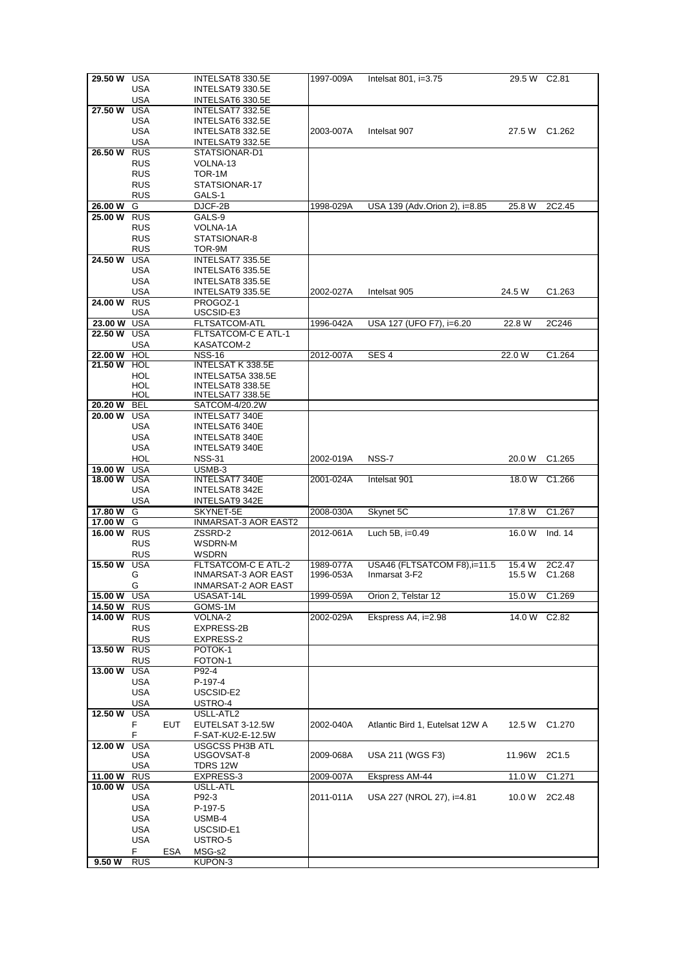| 29.50 W                | USA                      |     | INTELSAT8 330.5E                          | 1997-009A | Intelsat $801$ , i= $3.75$      | 29.5 W C2.81 |                    |
|------------------------|--------------------------|-----|-------------------------------------------|-----------|---------------------------------|--------------|--------------------|
|                        | USA                      |     | INTELSAT9 330.5E                          |           |                                 |              |                    |
|                        | USA                      |     | INTELSAT6 330.5E                          |           |                                 |              |                    |
| 27.50 W                | USA                      |     | INTELSAT7 332.5E                          |           |                                 |              |                    |
|                        | USA                      |     | INTELSAT6 332.5E                          |           |                                 |              |                    |
|                        | USA                      |     | INTELSAT8 332.5E                          | 2003-007A | Intelsat 907                    |              | 27.5 W C1.262      |
| 26.50W                 | USA<br><b>RUS</b>        |     | INTELSAT9 332.5E<br>STATSIONAR-D1         |           |                                 |              |                    |
|                        | <b>RUS</b>               |     | VOLNA-13                                  |           |                                 |              |                    |
|                        | <b>RUS</b>               |     | TOR-1M                                    |           |                                 |              |                    |
|                        | <b>RUS</b>               |     | STATSIONAR-17                             |           |                                 |              |                    |
|                        | <b>RUS</b>               |     | GALS-1                                    |           |                                 |              |                    |
| 26.00 W                | G                        |     | DJCF-2B                                   | 1998-029A | USA 139 (Adv.Orion 2), i=8.85   | 25.8 W       | 2C2.45             |
| <b>25.00 W RUS</b>     |                          |     | GALS-9                                    |           |                                 |              |                    |
|                        | <b>RUS</b>               |     | VOLNA-1A                                  |           |                                 |              |                    |
|                        | <b>RUS</b>               |     | STATSIONAR-8                              |           |                                 |              |                    |
|                        | <b>RUS</b>               |     | TOR-9M                                    |           |                                 |              |                    |
| 24.50 W                | <b>USA</b>               |     | INTELSAT7 335.5E                          |           |                                 |              |                    |
|                        | USA                      |     | INTELSAT6 335.5E                          |           |                                 |              |                    |
|                        | USA                      |     | INTELSAT8 335.5E                          |           |                                 |              |                    |
|                        | USA                      |     | INTELSAT9 335.5E                          | 2002-027A | Intelsat 905                    | 24.5 W       | C <sub>1.263</sub> |
| 24.00 W RUS            |                          |     | PROGOZ-1                                  |           |                                 |              |                    |
|                        | USA                      |     | USCSID-E3                                 |           |                                 |              |                    |
| 23.00 W USA            |                          |     | FLTSATCOM-ATL                             | 1996-042A | USA 127 (UFO F7), i=6.20        | 22.8 W       | 2C246              |
| 22.50 W                | USA                      |     | <b>FLTSATCOM-C E ATL-1</b>                |           |                                 |              |                    |
|                        | USA                      |     | KASATCOM-2                                |           |                                 |              |                    |
| 22.00 W<br>21.50 W HOL | HOL                      |     | <b>NSS-16</b><br><b>INTELSAT K 338.5E</b> | 2012-007A | SES <sub>4</sub>                | 22.0 W       | C1.264             |
|                        | HOL                      |     | INTELSAT5A 338.5E                         |           |                                 |              |                    |
|                        | HOL                      |     | INTELSAT8 338.5E                          |           |                                 |              |                    |
|                        | HOL                      |     | INTELSAT7 338.5E                          |           |                                 |              |                    |
| 20.20 W                | <b>BEL</b>               |     | SATCOM-4/20.2W                            |           |                                 |              |                    |
| 20.00 W                | USA                      |     | INTELSAT7 340E                            |           |                                 |              |                    |
|                        | USA                      |     | INTELSAT6 340E                            |           |                                 |              |                    |
|                        | USA                      |     | INTELSAT8 340E                            |           |                                 |              |                    |
|                        | USA                      |     | INTELSAT9 340E                            |           |                                 |              |                    |
|                        | HOL                      |     | <b>NSS-31</b>                             | 2002-019A | NSS-7                           |              | 20.0 W C1.265      |
| 19.00 W                | USA                      |     | USMB-3                                    |           |                                 |              |                    |
| <b>18.00 W USA</b>     |                          |     | INTELSAT7 340E                            | 2001-024A | Intelsat 901                    |              | 18.0 W C1.266      |
|                        | USA                      |     | INTELSAT8 342E                            |           |                                 |              |                    |
|                        |                          |     |                                           |           |                                 |              |                    |
|                        | <b>USA</b>               |     | INTELSAT9 342E                            |           |                                 |              |                    |
| 17.80W                 | G                        |     | SKYNET-5E                                 | 2008-030A | Skynet 5C                       | 17.8 W       | C1.267             |
| 17.00 W                | G                        |     | <b>INMARSAT-3 AOR EAST2</b>               |           |                                 |              |                    |
| 16.00 W                | <b>RUS</b>               |     | ZSSRD-2                                   | 2012-061A | Luch 5B, i=0.49                 | 16.0 W       | Ind. $14$          |
|                        | <b>RUS</b><br><b>RUS</b> |     | WSDRN-M<br>WSDRN                          |           |                                 |              |                    |
| 15.50 W                | <b>USA</b>               |     | FLTSATCOM-C E ATL-2                       | 1989-077A | USA46 (FLTSATCOM F8), i=11.5    | 15.4 W       | 2C2.47             |
|                        | G                        |     | INMARSAT-3 AOR EAST                       | 1996-053A | Inmarsat 3-F2                   | 15.5 W       | C <sub>1.268</sub> |
|                        | G                        |     | <b>INMARSAT-2 AOR EAST</b>                |           |                                 |              |                    |
| 15.00 W USA            |                          |     | USASAT-14L                                | 1999-059A | Orion 2, Telstar 12             | 15.0 W       | C1.269             |
| 14.50 W                | <b>RUS</b>               |     | GOMS-1M                                   |           |                                 |              |                    |
| 14.00 W                | <b>RUS</b>               |     | VOLNA-2                                   | 2002-029A | Ekspress A4, i=2.98             | 14.0 W       | C <sub>2.82</sub>  |
|                        | <b>RUS</b>               |     | EXPRESS-2B                                |           |                                 |              |                    |
|                        | <b>RUS</b>               |     | EXPRESS-2                                 |           |                                 |              |                    |
| 13.50 W                | <b>RUS</b>               |     | POTOK-1                                   |           |                                 |              |                    |
|                        | <b>RUS</b>               |     | FOTON-1                                   |           |                                 |              |                    |
| 13.00 W                | <b>USA</b>               |     | P92-4                                     |           |                                 |              |                    |
|                        | <b>USA</b>               |     | P-197-4                                   |           |                                 |              |                    |
|                        | <b>USA</b><br>USA        |     | USCSID-E2<br>USTRO-4                      |           |                                 |              |                    |
| 12.50 W                | USA                      |     | USLL-ATL2                                 |           |                                 |              |                    |
|                        | F.                       | EUT | EUTELSAT 3-12.5W                          | 2002-040A | Atlantic Bird 1, Eutelsat 12W A | 12.5 W       | C <sub>1.270</sub> |
|                        | F                        |     | F-SAT-KU2-E-12.5W                         |           |                                 |              |                    |
| 12.00 W                | <b>USA</b>               |     | <b>USGCSS PH3B ATL</b>                    |           |                                 |              |                    |
|                        | USA                      |     | USGOVSAT-8                                | 2009-068A | USA 211 (WGS F3)                | 11.96W       | 2C1.5              |
|                        | <b>USA</b>               |     | TDRS 12W                                  |           |                                 |              |                    |
| 11.00 W                | <b>RUS</b>               |     | EXPRESS-3                                 | 2009-007A | Ekspress AM-44                  | 11.0 W       | C1.271             |
| 10.00 W                | USA                      |     | USLL-ATL                                  |           |                                 |              |                    |
|                        | USA                      |     | P92-3                                     | 2011-011A | USA 227 (NROL 27), i=4.81       | 10.0 W       | 2C2.48             |
|                        | USA                      |     | P-197-5                                   |           |                                 |              |                    |
|                        | USA                      |     | USMB-4                                    |           |                                 |              |                    |
|                        | USA                      |     | USCSID-E1                                 |           |                                 |              |                    |
|                        | USA<br>F.                | ESA | USTRO-5<br>MSG-s2                         |           |                                 |              |                    |